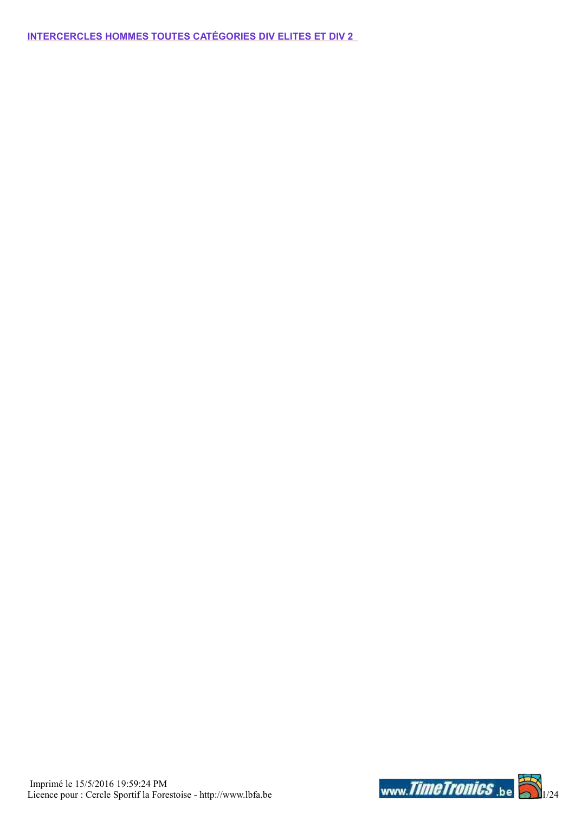INTERCERCLES HOMMES TOUTES CATÉGORIES DIV ELITES ET DIV 2

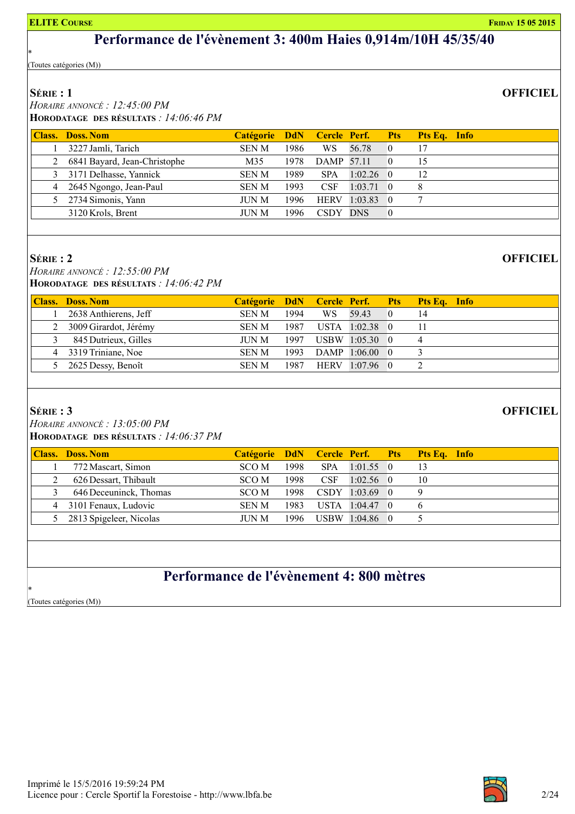### Performance de l'évènement 3: 400m Haies 0,914m/10H 45/35/40

(Toutes catégories (M))

### SÉRIE : 1

\*

 HORAIRE ANNONCÉ : 12:45:00 PM HORODATAGE DES RÉSULTATS : 14:06:46 PM

| <b>Class. Doss. Nom</b>      | Catégorie DdN Cercle Perf. Pts |      |                   |             |            | <b>Pts Eq.</b> Info |
|------------------------------|--------------------------------|------|-------------------|-------------|------------|---------------------|
| 3227 Jamli, Tarich           | <b>SENM</b>                    | 1986 | WS.               | 56.78       | $\Box$ 0   | 17                  |
| 6841 Bayard, Jean-Christophe | M35                            | 1978 | <b>DAMP</b> 57.11 |             | $\sqrt{0}$ | 15                  |
| 3 3171 Delhasse, Yannick     | <b>SEN M</b>                   | 1989 | <b>SPA</b>        | $1:02.26$ 0 |            | 12                  |
| 4 2645 Ngongo, Jean-Paul     | <b>SEN M</b>                   | 1993 | <b>CSF</b>        | $1:03.71$ 0 |            |                     |
| 5 2734 Simonis, Yann         | <b>JUN M</b>                   | 1996 | <b>HERV</b>       | $1:03.83$ 0 |            |                     |
| 3120 Krols, Brent            | JUN M                          | 1996 | CSDY DNS          |             |            |                     |
|                              |                                |      |                   |             |            |                     |

#### SÉRIE : 2

 HORAIRE ANNONCÉ : 12:55:00 PM HORODATAGE DES RÉSULTATS : 14:06:42 PM

| <b>Class. Doss. Nom</b> | Catégorie DdN Cercle Perf. Pts Pts Eq. Info |      |     |                |    |  |
|-------------------------|---------------------------------------------|------|-----|----------------|----|--|
| 2638 Anthierens, Jeff   | <b>SEN M</b>                                | 1994 | WS. | 59.43          | 14 |  |
| 2 3009 Girardot, Jérémy | SEN M                                       | 1987 |     | USTA 1:02.38 0 | 11 |  |
| 845 Dutrieux, Gilles    | JUN M                                       | 1997 |     | USBW 1:05.30 0 | 4  |  |
| 4 3319 Triniane, Noe    | SEN M                                       | 1993 |     | DAMP 1:06.00 0 |    |  |
| 2625 Dessy, Benoît      | <b>SEN M</b>                                | 1987 |     | HERV 1:07.96 0 |    |  |

### SÉRIE : 3

 HORAIRE ANNONCÉ : 13:05:00 PM HORODATAGE DES RÉSULTATS : 14:06:37 PM

| <b>Class. Doss. Nom</b> |             |       |                     |                  | Catégorie DdN Cercle Perf. Pts Pts Eq. Info |
|-------------------------|-------------|-------|---------------------|------------------|---------------------------------------------|
| 772 Mascart, Simon      | SCO M       | 1998  | <b>SPA</b>          | $1:01.55$ 0      | 13                                          |
| 626 Dessart, Thibault   | SCO M       | 1998  | $CSF$ $\rightarrow$ | $1:02.56$ 0      | 10                                          |
| 646 Deceuninck, Thomas  | SCO M       | 1998  |                     | $CSDY$ 1:03.69 0 |                                             |
| 4 3101 Fenaux, Ludovic  | <b>SENM</b> | 1983  |                     | USTA 1:04.47 0   |                                             |
| 2813 Spigeleer, Nicolas | JUN M       | 1996. |                     | USBW 1:04.86 0   |                                             |
|                         |             |       |                     |                  |                                             |

### Performance de l'évènement 4: 800 mètres

(Toutes catégories (M))

\*



### **OFFICIEL**

**OFFICIEL**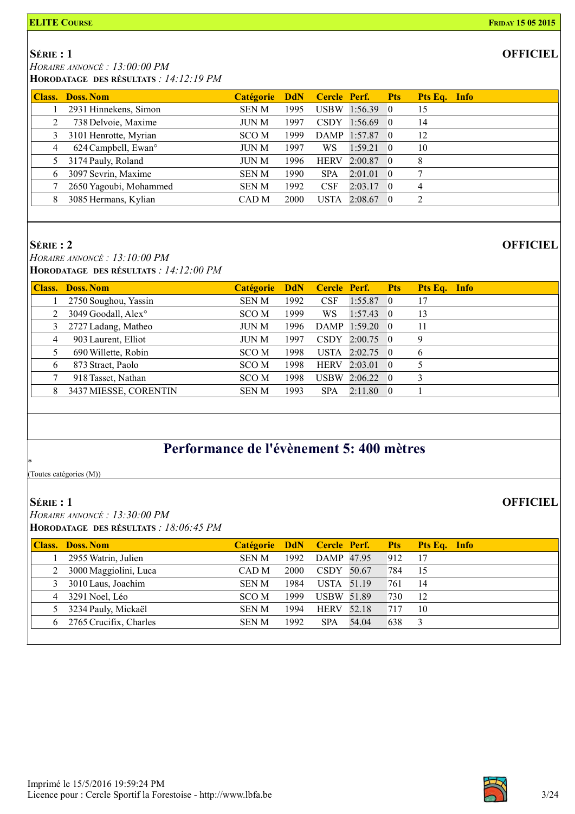### **OFFICIEL**

**OFFICIEL** 

**OFFICIEL** 

 SÉRIE : 1 HORAIRE ANNONCÉ : 13:00:00 PM

HORODATAGE DES RÉSULTATS : 14:12:19 PM

|   | <b>Class. Doss. Nom</b>         | Catégorie DdN Cercle Perf. Pts |      |             |                |            | Pts Eq. Info |
|---|---------------------------------|--------------------------------|------|-------------|----------------|------------|--------------|
|   | 2931 Hinnekens, Simon           | <b>SEN M</b>                   | 1995 |             | USBW 1:56.39 0 |            | 15           |
|   | 738 Delvoie, Maxime             | JUN M                          | 1997 | <b>CSDY</b> | $1:56.69$ 0    |            | 14           |
|   | 3101 Henrotte, Myrian           | SCO <sub>M</sub>               | 1999 |             | DAMP 1:57.87 0 |            | 12           |
| 4 | 624 Campbell, Ewan <sup>o</sup> | JUN M                          | 1997 | WS          | 1:59.21        | $\bigcirc$ | 10           |
|   | 3174 Pauly, Roland              | JUN M                          | 1996 | <b>HERV</b> | $2:00.87$ 0    |            | 8            |
| 6 | 3097 Sevrin, Maxime             | <b>SENM</b>                    | 1990 | <b>SPA</b>  | $2:01.01$ 0    |            | 7            |
|   | 2650 Yagoubi, Mohammed          | <b>SEN M</b>                   | 1992 | <b>CSF</b>  | $2:03.17$ 0    |            |              |
|   | 3085 Hermans, Kylian            | CAD M                          | 2000 | <b>USTA</b> | $2:08.67$ 0    |            | 2            |

#### SÉRIE : 2

 HORAIRE ANNONCÉ : 13:10:00 PM HORODATAGE DES RÉSULTATS : 14:12:00 PM

| <b>Class.</b> | Doss. Nom             | <b>Catégorie</b> | <b>DdN</b> |             | Cercle Perf. Pts  |            | Pts Eq. Info |  |
|---------------|-----------------------|------------------|------------|-------------|-------------------|------------|--------------|--|
|               | 2750 Soughou, Yassin  | <b>SENM</b>      | 1992       | <b>CSF</b>  | $1:55.87$ 0       |            | 17           |  |
|               | 3049 Goodall, Alex°   | SCO M            | 1999       | WS          | $1:57.43 \quad 0$ |            | 13           |  |
| 3.            | 2727 Ladang, Matheo   | <b>JUN M</b>     | 1996       |             | DAMP 1:59.20 0    |            | 11           |  |
| 4             | 903 Laurent, Elliot   | <b>JUN M</b>     | 1997       |             | $CSDY$ 2:00.75 0  |            | 9            |  |
|               | 690 Willette, Robin   | SCO M            | 1998       |             | USTA $2:02.75$ 0  |            | 6            |  |
| 6             | 873 Straet, Paolo     | SCO M            | 1998       | <b>HERV</b> | 2:03.01           | $\sqrt{0}$ | 5            |  |
|               | 918 Tasset, Nathan    | SCO M            | 1998       |             | $USBW$ 2:06.22 0  |            | 3            |  |
| 8             | 3437 MIESSE, CORENTIN | <b>SENM</b>      | 1993       | <b>SPA</b>  | $2:11.80 \quad 0$ |            |              |  |

### Performance de l'évènement 5: 400 mètres

(Toutes catégories (M))

### SÉRIE : 1

\*

 HORAIRE ANNONCÉ : 13:30:00 PM HORODATAGE DES RÉSULTATS : 18:06:45 PM

| <b>Class. Doss. Nom</b>  |              |      |                   |       |     | Catégorie DdN Cercle Perf. Pts Pts Eq. Info |
|--------------------------|--------------|------|-------------------|-------|-----|---------------------------------------------|
| 2955 Watrin, Julien      | <b>SEN M</b> | 1992 | DAMP 47.95        |       | 912 | 17                                          |
| 2 3000 Maggiolini, Luca  | CAD M        | 2000 | CSDY 50.67        |       | 784 | -15                                         |
| 3 3010 Laus, Joachim     | <b>SENM</b>  | 1984 | USTA 51.19        |       | 761 | -14                                         |
| 4 3291 Noel, Léo         | SCO M        | 1999 | <b>USBW 51.89</b> |       | 730 | -12                                         |
| 5 3234 Pauly, Mickaël    | <b>SEN M</b> | 1994 | <b>HERV</b> 52.18 |       | 717 | 10                                          |
| 6 2765 Crucifix, Charles | <b>SEN M</b> | 1992 | <b>SPA</b>        | 54.04 | 638 |                                             |
|                          |              |      |                   |       |     |                                             |

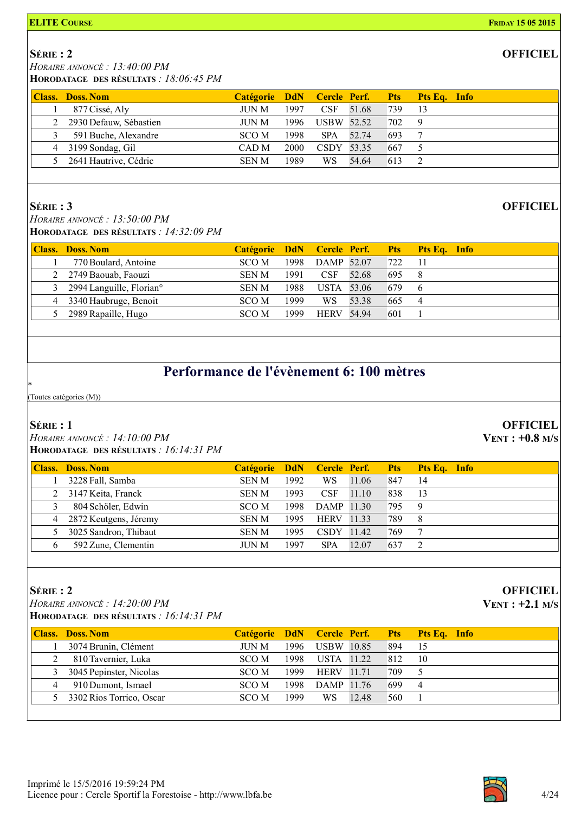### SÉRIE : 2

HORAIRE ANNONCÉ : 13:40:00 PM

HORODATAGE DES RÉSULTATS : 18:06:45 PM

|   | <b>Class. Doss. Nom</b>  |             |      |            |       |     | Catégorie DdN Cercle Perf. Pts Pts Eq. Info |
|---|--------------------------|-------------|------|------------|-------|-----|---------------------------------------------|
|   | 877 Cissé, Aly           | JUN M       | 1997 | CSF 51.68  |       | 739 | -13                                         |
|   | 2 2930 Defauw, Sébastien | JUN M       | 1996 | USBW 52.52 |       | 702 |                                             |
| 3 | 591 Buche, Alexandre     | SCO M       | 1998 | SPA 52.74  |       | 693 |                                             |
|   | 4 3199 Sondag, Gil       | CAD M       | 2000 | CSDY 53.35 |       | 667 |                                             |
|   | 5 2641 Hautrive, Cédric  | <b>SENM</b> | 1989 | WS.        | 54.64 | 613 |                                             |
|   |                          |             |      |            |       |     |                                             |

### SÉRIE : 3

 HORAIRE ANNONCÉ : 13:50:00 PM HORODATAGE DES RÉSULTATS : 14:32:09 PM

|   | <b>Class. Doss. Nom</b>              |              |      |                   |       |     | Catégorie DdN Cercle Perf. Pts Pts Eq. Info |
|---|--------------------------------------|--------------|------|-------------------|-------|-----|---------------------------------------------|
|   | 770 Boulard, Antoine                 | SCO M        | 1998 | DAMP 52.07        |       | 722 | -11                                         |
|   | 2 2749 Baouab, Faouzi                | <b>SEN M</b> | 1991 | <b>CSF</b>        | 52.68 | 695 |                                             |
|   | 2994 Languille, Florian <sup>o</sup> | <b>SEN M</b> | 1988 | USTA 53.06        |       | 679 | -6                                          |
| 4 | 3340 Haubruge, Benoit                | SCO M        | 1999 | WS.               | 53.38 | 665 |                                             |
|   | 2989 Rapaille, Hugo                  | SCO M        | 1999 | <b>HERV 54.94</b> |       | 601 |                                             |

### Performance de l'évènement 6: 100 mètres

(Toutes catégories (M))

### SÉRIE : 1

\*

 HORAIRE ANNONCÉ : 14:10:00 PM HORODATAGE DES RÉSULTATS : 16:14:31 PM

|   | <b>Class. Doss. Nom</b> | Catégorie DdN Cercle Perf. Pts |      |             |       |     | <b>Pts Eq.</b> Info |
|---|-------------------------|--------------------------------|------|-------------|-------|-----|---------------------|
|   | 3228 Fall, Samba        | <b>SEN M</b>                   | 1992 | WS.         | 11.06 | 847 | 14                  |
|   | 2 3147 Keita, Franck    | <b>SEN M</b>                   | 1993 | <b>CSF</b>  | 11.10 | 838 | -13                 |
|   | 804 Schöler, Edwin      | SCO M                          | 1998 | DAMP 11.30  |       | 795 | -9                  |
| 4 | 2872 Keutgens, Jéremy   | <b>SEN M</b>                   | 1995 | HERV        | 11.33 | 789 | 8                   |
|   | 3025 Sandron, Thibaut   | <b>SEN M</b>                   | 1995 | <b>CSDY</b> | 11.42 | 769 |                     |
|   | 592 Zune, Clementin     | JUN M                          | 1997 | <b>SPA</b>  | 12.07 | 637 |                     |

### SÉRIE : 2

 HORAIRE ANNONCÉ : 14:20:00 PM HORODATAGE DES RÉSULTATS : 16:14:31 PM

|   | <b>Class. Doss. Nom</b>    |       |      |                   |       |     | Catégorie DdN Cercle Perf. Pts Pts Eq. Info |
|---|----------------------------|-------|------|-------------------|-------|-----|---------------------------------------------|
|   | 3074 Brunin, Clément       | JUN M | 1996 | USBW 10.85        |       | 894 | -15                                         |
|   | 810 Tavernier, Luka        | SCO M | 1998 | USTA 11.22        |       | 812 | 10                                          |
| 3 | 3045 Pepinster, Nicolas    | SCO M | 1999 | <b>HERV</b> 11.71 |       | 709 |                                             |
|   | 910 Dumont, Ismael         | SCO M | 1998 | DAMP 11.76        |       | 699 | $\overline{4}$                              |
|   | 5 3302 Rios Torrico, Oscar | SCO M | 1999 | WS.               | 12.48 | 560 |                                             |



### **OFFICIEL**

### **OFFICIEL**

**OFFICIEL** 

VENT : +0.8 M/S

### **OFFICIEL**

VENT : +2.1 M/S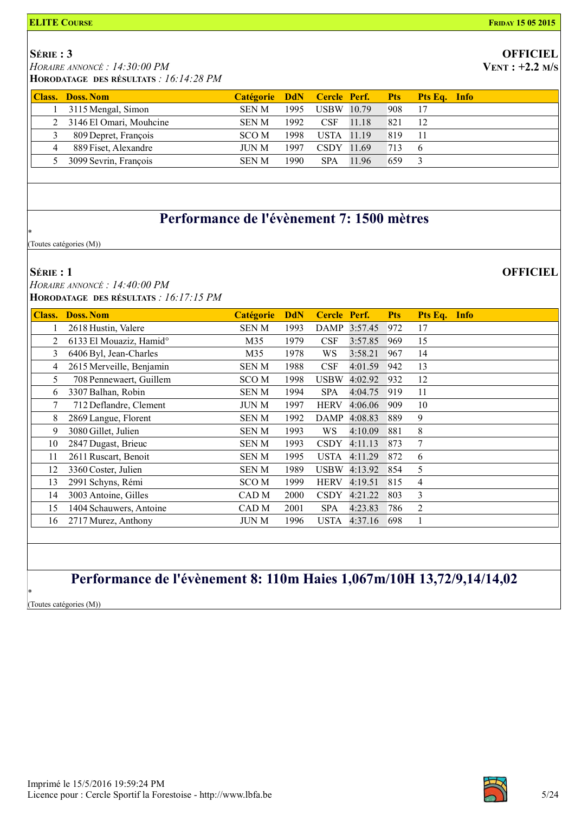### SÉRIE : 3

HORAIRE ANNONCÉ : 14:30:00 PM

HORODATAGE DES RÉSULTATS : 16:14:28 PM

|   | <b>Class. Doss. Nom</b>   |              |      |            |       |     | Catégorie DdN Cercle Perf. Pts Pts Eq. Info |
|---|---------------------------|--------------|------|------------|-------|-----|---------------------------------------------|
|   | 3115 Mengal, Simon        | <b>SEN M</b> | 1995 | USBW 10.79 |       | 908 | 17                                          |
|   | 2 3146 El Omari, Mouhcine | <b>SEN M</b> | 1992 | CSF 11.18  |       | 821 | 12                                          |
|   | 809 Depret, François      | SCO M        | 1998 | USTA 11.19 |       | 819 | -11                                         |
| 4 | 889 Fiset, Alexandre      | <b>JUN M</b> | 1997 | CSDY 11.69 |       | 713 | - 6                                         |
|   | 5 3099 Sevrin, François   | <b>SEN M</b> | 1990 | <b>SPA</b> | 11.96 | 659 |                                             |

### Performance de l'évènement 7: 1500 mètres

(Toutes catégories (M))

#### SÉRIE : 1

\*

 HORAIRE ANNONCÉ : 14:40:00 PM HORODATAGE DES RÉSULTATS : 16:17:15 PM

| <b>Class.</b> | <b>Doss. Nom</b>                    | Catégorie        | <b>DdN</b> | <b>Cercle</b> | Perf.        | <b>Pts</b> | Pts Eq. Info   |
|---------------|-------------------------------------|------------------|------------|---------------|--------------|------------|----------------|
|               | 2618 Hustin, Valere                 | <b>SENM</b>      | 1993       |               | DAMP 3:57.45 | 972        | 17             |
| 2             | 6133 El Mouaziz, Hamid <sup>o</sup> | M35              | 1979       | <b>CSF</b>    | 3:57.85      | 969        | 15             |
| 3             | 6406 Byl, Jean-Charles              | M35              | 1978       | WS            | 3:58.21      | 967        | 14             |
| 4             | 2615 Merveille, Benjamin            | SEN M            | 1988       | <b>CSF</b>    | 4:01.59      | 942        | 13             |
| 5             | 708 Pennewaert, Guillem             | SCO M            | 1998       | <b>USBW</b>   | 4:02.92      | 932        | 12             |
| 6             | 3307 Balhan, Robin                  | SEN M            | 1994       | <b>SPA</b>    | 4:04.75      | 919        | 11             |
| 7             | 712 Deflandre, Clement              | <b>JUN M</b>     | 1997       | <b>HERV</b>   | 4:06.06      | 909        | 10             |
| 8             | 2869 Langue, Florent                | SEN M            | 1992       | <b>DAMP</b>   | 4:08.83      | 889        | 9              |
| 9             | 3080 Gillet, Julien                 | <b>SENM</b>      | 1993       | WS            | 4:10.09      | 881        | 8              |
| 10            | 2847 Dugast, Brieuc                 | SEN M            | 1993       | <b>CSDY</b>   | 4:11.13      | 873        | 7              |
| 11            | 2611 Ruscart, Benoit                | <b>SENM</b>      | 1995       | <b>USTA</b>   | 4:11.29      | 872        | 6              |
| 12            | 3360 Coster, Julien                 | SEN M            | 1989       | <b>USBW</b>   | 4:13.92      | 854        | 5              |
| 13            | 2991 Schyns, Rémi                   | <b>SCOM</b>      | 1999       | <b>HERV</b>   | 4:19.51      | 815        | 4              |
| 14            | 3003 Antoine, Gilles                | CAD M            | 2000       | <b>CSDY</b>   | 4:21.22      | 803        | 3              |
| 15            | 1404 Schauwers, Antoine             | CAD <sub>M</sub> | 2001       | <b>SPA</b>    | 4:23.83      | 786        | $\overline{2}$ |
| 16            | 2717 Murez, Anthony                 | <b>JUN M</b>     | 1996       | <b>USTA</b>   | 4:37.16      | 698        |                |

### Performance de l'évènement 8: 110m Haies 1,067m/10H 13,72/9,14/14,02

\* (Toutes catégories (M))



# **OFFICIEL**

VENT : +2.2 M/S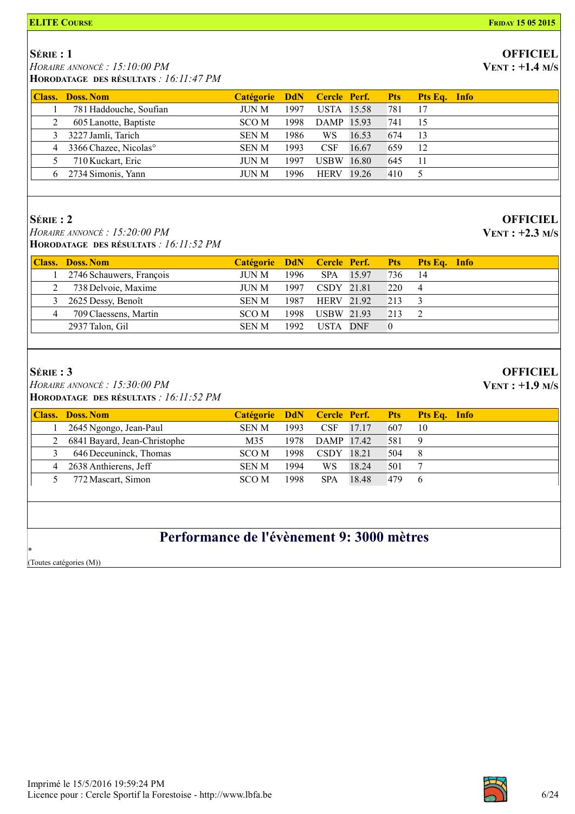#### SÉRIE : 1

HORAIRE ANNONCÉ : 15:10:00 PM

HORODATAGE DES RÉSULTATS : 16:11:47 PM

|   | <b>Class. Doss. Nom</b>             |              |      |                   |       |     | Catégorie DdN Cercle Perf. Pts Pts Eq. Info |
|---|-------------------------------------|--------------|------|-------------------|-------|-----|---------------------------------------------|
|   | 781 Haddouche, Soufian              | JUN M        | 1997 | <b>USTA</b> 15.58 |       | 781 | 17                                          |
|   | 605 Lanotte, Baptiste               | SCO M        | 1998 | DAMP 15.93        |       | 741 | 15                                          |
| 3 | 3227 Jamli, Tarich                  | <b>SEN M</b> | 1986 | WS.               | 16.53 | 674 | 13                                          |
|   | 4 3366 Chazee, Nicolas <sup>o</sup> | <b>SEN M</b> | 1993 | <b>CSF</b>        | 16.67 | 659 | 12                                          |
|   | 710 Kuckart, Eric                   | <b>JUN M</b> | 1997 | <b>USBW 16.80</b> |       | 645 | -11                                         |
|   | 6 2734 Simonis, Yann                | JUN M        | 1996 | <b>HERV</b> 19.26 |       | 410 |                                             |

### SÉRIE : 2

 HORAIRE ANNONCÉ : 15:20:00 PM HORODATAGE DES RÉSULTATS : 16:11:52 PM

|                                                                   | Catégorie DdN Cercle Perf. Pts Pts Eq. Info |
|-------------------------------------------------------------------|---------------------------------------------|
| 2746 Schauwers, François<br>1996<br>SPA 15.97<br>736<br>JUN M     | -14                                         |
| 738 Delvoie, Maxime<br>220<br>1997<br>CSDY 21.81<br>JUN M         |                                             |
| <b>HERV</b> 21.92<br>213<br>3 2625 Dessy, Benoît<br>1987<br>SEN M |                                             |
| 709 Claessens, Martin<br>USBW 21.93<br>1998<br>213<br>SCO M       |                                             |
| 2937 Talon, Gil<br>1992.<br>USTA DNF<br><b>SEN M</b>              |                                             |

### SÉRIE : 3

 HORAIRE ANNONCÉ : 15:30:00 PM HORODATAGE DES RÉSULTATS : 16:11:52 PM

|   | <b>Class. Doss. Nom</b>      |              |      |            |       |     | Catégorie DdN Cercle Perf. Pts Pts Eq. Info |
|---|------------------------------|--------------|------|------------|-------|-----|---------------------------------------------|
|   | 2645 Ngongo, Jean-Paul       | <b>SEN M</b> | 1993 | <b>CSF</b> | 17.17 | 607 | 10                                          |
|   | 6841 Bayard, Jean-Christophe | M35          | 1978 | DAMP 17.42 |       | 581 | 9                                           |
|   | 646 Deceuninck, Thomas       | SCO M        | 1998 | CSDY 18.21 |       | 504 | -8                                          |
| 4 | 2638 Anthierens, Jeff        | <b>SEN M</b> | 1994 | WS         | 18.24 | 501 |                                             |
|   | 772 Mascart, Simon           | SCO M        | 1998 | <b>SPA</b> | 18.48 | 479 | 6                                           |
|   |                              |              |      |            |       |     |                                             |

### Performance de l'évènement 9: 3000 mètres

\* (Toutes catégories (M))



#### **OFFICIEL**  $VENT : +1.4 M/s$

# VENT : +2.3 M/S

**OFFICIEL** 

**OFFICIEL** 

VENT : +1.9 M/S

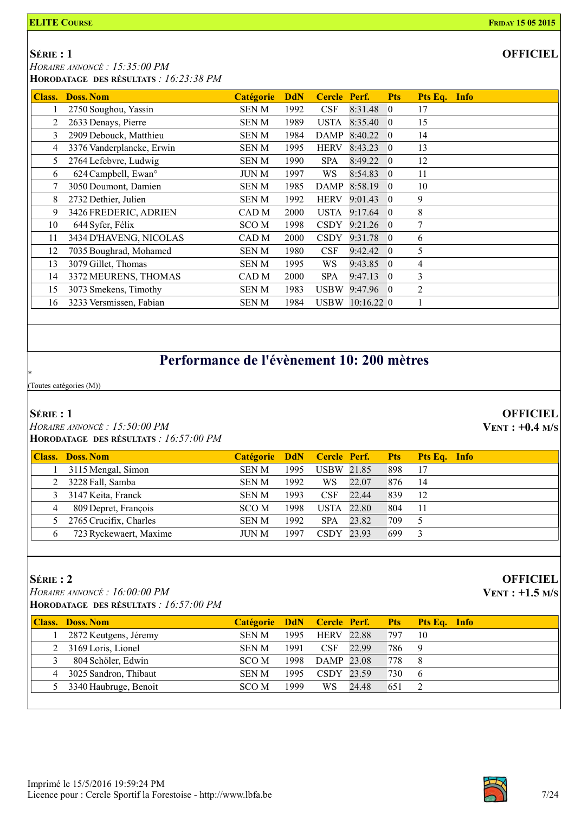SÉRIE : 1 HORAIRE ANNONCÉ : 15:35:00 PM

|  | HORODATAGE DES RÉSULTATS : $16:23:38 PM$ |                                             |  |                                      |  |  |
|--|------------------------------------------|---------------------------------------------|--|--------------------------------------|--|--|
|  | <b>Class. Doss. Nom</b>                  | Catégorie DdN Cercle Perf. Pts Pts Eq. Info |  |                                      |  |  |
|  | 1 2750 Soughou, Yassin                   | SEN M                                       |  | 1992 CSF 8:31.48 0                   |  |  |
|  | $\sim$ $\sim$ $\sim$                     | $\alpha$ $\beta$ $\gamma$ $\gamma$          |  | $1000$ $\overline{100}$ $0.2540$ $0$ |  |  |

|    | 2750 Soughou, Yassin            | <b>SENM</b>  | 1992 | <b>CSF</b>  | 8:31.48 0         |            | 17 |  |
|----|---------------------------------|--------------|------|-------------|-------------------|------------|----|--|
|    | 2633 Denays, Pierre             | <b>SENM</b>  | 1989 | <b>USTA</b> | 8:35.40           | $\Omega$   | 15 |  |
| 3  | 2909 Debouck, Matthieu          | SEN M        | 1984 | DAMP        | $8:40.22$ 0       |            | 14 |  |
| 4  | 3376 Vanderplancke, Erwin       | <b>SENM</b>  | 1995 | <b>HERV</b> | 8:43.23           | $\theta$   | 13 |  |
| 5  | 2764 Lefebvre, Ludwig           | <b>SENM</b>  | 1990 | <b>SPA</b>  | 8:49.22           | $\Omega$   | 12 |  |
| 6  | 624 Campbell, Ewan <sup>o</sup> | <b>JUN M</b> | 1997 | WS.         | 8:54.83           | $\sqrt{0}$ | 11 |  |
|    | 3050 Doumont, Damien            | <b>SENM</b>  | 1985 | DAMP        | 8:58.19           | 0          | 10 |  |
| 8  | 2732 Dethier, Julien            | <b>SENM</b>  | 1992 | <b>HERV</b> | $9:01.43 \quad 0$ |            | 9  |  |
| 9  | 3426 FREDERIC, ADRIEN           | CAD M        | 2000 | <b>USTA</b> | $9:17.64$ 0       |            | 8  |  |
| 10 | 644 Syfer, Félix                | SCO M        | 1998 | <b>CSDY</b> | $9:21.26 \quad 0$ |            | 7  |  |
| 11 | 3434 D'HAVENG, NICOLAS          | CAD M        | 2000 | <b>CSDY</b> | 9:31.78 0         |            | 6  |  |
| 12 | 7035 Boughrad, Mohamed          | SEN M        | 1980 | CSF         | 9:42.42           | $\Omega$   | 5  |  |
| 13 | 3079 Gillet, Thomas             | <b>SENM</b>  | 1995 | WS.         | $9:43.85$ 0       |            | 4  |  |
| 14 | 3372 MEURENS, THOMAS            | CAD M        | 2000 | <b>SPA</b>  | 9:47.13           | $\Omega$   | 3  |  |
| 15 | 3073 Smekens, Timothy           | <b>SENM</b>  | 1983 | <b>USBW</b> | 9:47.96 0         |            | 2  |  |
| 16 | 3233 Versmissen, Fabian         | <b>SENM</b>  | 1984 |             | USBW 10:16.22 0   |            |    |  |

## Performance de l'évènement 10: 200 mètres

(Toutes catégories (M))

### SÉRIE : 1

\*

 HORAIRE ANNONCÉ : 15:50:00 PM HORODATAGE DES RÉSULTATS : 16:57:00 PM

| Class. | Doss. Nom              | Catégorie DdN Cercle Perf. Pts |      |                   |       |     | Pts Eq. Info |
|--------|------------------------|--------------------------------|------|-------------------|-------|-----|--------------|
|        | 3115 Mengal, Simon     | <b>SEN M</b>                   | 1995 | <b>USBW 21.85</b> |       | 898 | 17           |
|        | 3228 Fall, Samba       | <b>SEN M</b>                   | 1992 | WS.               | 22.07 | 876 | 14           |
|        | 3147 Keita, Franck     | <b>SEN M</b>                   | 1993 | <b>CSF</b>        | 22.44 | 839 | 12           |
| 4      | 809 Depret, François   | SCO M                          | 1998 | USTA              | 22.80 | 804 | 11           |
|        | 2765 Crucifix, Charles | <b>SEN M</b>                   | 1992 | <b>SPA</b>        | 23.82 | 709 |              |
|        | 723 Ryckewaert, Maxime | JUN M                          | 1997 | CSDY 23.93        |       | 699 |              |
|        |                        |                                |      |                   |       |     |              |

### SÉRIE : 2

 HORAIRE ANNONCÉ : 16:00:00 PM HORODATAGE DES RÉSULTATS : 16:57:00 PM

| <b>Class.</b> Doss, Nom |              |      |                   |       |     | Catégorie DdN Cercle Perf. Pts Pts Eq. Info |
|-------------------------|--------------|------|-------------------|-------|-----|---------------------------------------------|
| 2872 Keutgens, Jéremy   | <b>SEN M</b> | 1995 | <b>HERV</b> 22.88 |       | 797 | 10                                          |
| 2 3169 Loris, Lionel    | SEN M        | 1991 | – CSF             | 22.99 | 786 | $\mathbf{Q}$                                |
| 804 Schöler, Edwin      | SCO M        | 1998 | DAMP 23.08        |       | 778 | - 8                                         |
| 4 3025 Sandron, Thibaut | SEN M        | 1995 | CSDY 23.59        |       | 730 | 6                                           |
| 5 3340 Haubruge, Benoit | SCO M        | 1999 | <b>WS</b>         | 24.48 | 651 |                                             |
|                         |              |      |                   |       |     |                                             |



**OFFICIEL** 

VENT : +0.4 M/S

**OFFICIEL** VENT : +1.5 M/S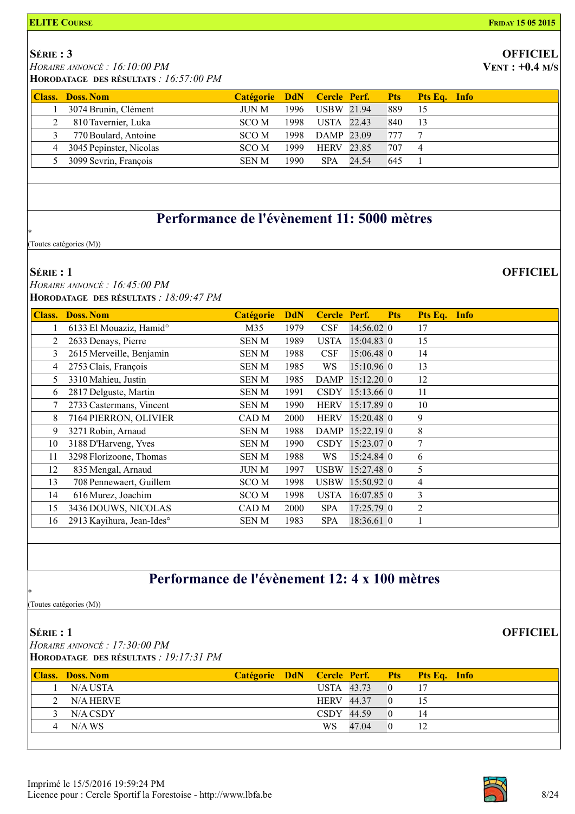#### SÉRIE : 3

 HORAIRE ANNONCÉ : 16:10:00 PM HORODATAGE DES RÉSULTATS : 16:57:00 PM

|               | <b>THURUPATAGE DES RESULTATS</b> . $10.37.001M$ |                                             |                 |     |     |  |
|---------------|-------------------------------------------------|---------------------------------------------|-----------------|-----|-----|--|
|               | <b>Class. Doss. Nom</b>                         | Catégorie DdN Cercle Perf. Pts Pts Eq. Info |                 |     |     |  |
|               | 3074 Brunin, Clément                            | JUN M                                       | 1996 USBW 21.94 | 889 | -15 |  |
|               | 810 Tavernier, Luka                             | SCO M                                       | 1998 USTA 22.43 | 840 | -13 |  |
| $\mathcal{R}$ | 770 Boulard, Antoine                            | SCO M                                       | 1998 DAMP 23.09 | 777 |     |  |

4 3045 Pepinster, Nicolas SCO M 1999 HERV 23.85 707 4 5 3099 Sevrin, François SEN M 1990 SPA 24.54 645 1

### Performance de l'évènement 11: 5000 mètres

(Toutes catégories (M))

#### SÉRIE : 1

\*

 HORAIRE ANNONCÉ : 16:45:00 PM HORODATAGE DES RÉSULTATS : 18:09:47 PM

| <b>Class.</b> | <b>Doss. Nom</b>                    | <b>Catégorie</b> | <b>DdN</b> | <b>Cercle</b> | Perf.        | <b>Pts</b> | Pts Eq.        | <b>Info</b> |
|---------------|-------------------------------------|------------------|------------|---------------|--------------|------------|----------------|-------------|
|               | 6133 El Mouaziz, Hamid <sup>o</sup> | M35              | 1979       | <b>CSF</b>    | 14:56.02 0   |            | 17             |             |
| 2             | 2633 Denays, Pierre                 | SEN M            | 1989       | <b>USTA</b>   | 15:04.83 0   |            | 15             |             |
| 3             | 2615 Merveille, Benjamin            | <b>SENM</b>      | 1988       | <b>CSF</b>    | 15:06.48 0   |            | 14             |             |
| 4             | 2753 Clais, François                | <b>SENM</b>      | 1985       | WS            | $15:10.96$ 0 |            | 13             |             |
| 5             | 3310 Mahieu, Justin                 | SEN M            | 1985       | <b>DAMP</b>   | $15:12.20$ 0 |            | 12             |             |
| 6             | 2817 Delguste, Martin               | SEN M            | 1991       | <b>CSDY</b>   | 15:13.66 0   |            | 11             |             |
| 7             | 2733 Castermans, Vincent            | <b>SENM</b>      | 1990       | <b>HERV</b>   | 15:17.89 0   |            | 10             |             |
| 8             | 7164 PIERRON, OLIVIER               | CAD M            | 2000       | <b>HERV</b>   | 15:20.48 0   |            | 9              |             |
| 9             | 3271 Robin, Arnaud                  | <b>SENM</b>      | 1988       | DAMP          | $15:22.19$ 0 |            | 8              |             |
| 10            | 3188 D'Harveng, Yves                | <b>SENM</b>      | 1990       | <b>CSDY</b>   | 15:23.07 0   |            | $\tau$         |             |
| 11            | 3298 Florizoone, Thomas             | SEN M            | 1988       | WS            | 15:24.84 0   |            | 6              |             |
| 12            | 835 Mengal, Arnaud                  | <b>JUN M</b>     | 1997       | <b>USBW</b>   | 15:27.48 0   |            | 5              |             |
| 13            | 708 Pennewaert, Guillem             | SCO <sub>M</sub> | 1998       | <b>USBW</b>   | 15:50.92 0   |            | $\overline{4}$ |             |
| 14            | 616 Murez, Joachim                  | SCO M            | 1998       | <b>USTA</b>   | $16:07.85$ 0 |            | $\overline{3}$ |             |
| 15            | 3436 DOUWS, NICOLAS                 | CAD M            | 2000       | <b>SPA</b>    | $17:25.79$ 0 |            | 2              |             |
| 16            | 2913 Kayihura, Jean-Ides°           | SEN M            | 1983       | <b>SPA</b>    | 18:36.61 0   |            |                |             |

### Performance de l'évènement 12: 4 x 100 mètres

(Toutes catégories (M))

\*

### SÉRIE : 1 HORAIRE ANNONCÉ : 17:30:00 PM HORODATAGE DES RÉSULTATS : 19:17:31 PM

| <b>Class. Doss. Nom</b> |  |                   |       | Catégorie DdN Cercle Perf. Pts Pts Eq. Info |
|-------------------------|--|-------------------|-------|---------------------------------------------|
| N/A USTA                |  | USTA 43.73        |       |                                             |
| 2 N/A HERVE             |  | <b>HERV 44.37</b> |       |                                             |
| $3$ N/A CSDY            |  | $CSDY$ 44.59      |       | 14                                          |
| 4 N/AWS                 |  | WS -              | 47.04 |                                             |



# **OFFICIEL**

 $VENT: +0.4 M/s$ 

### **OFFICIEL**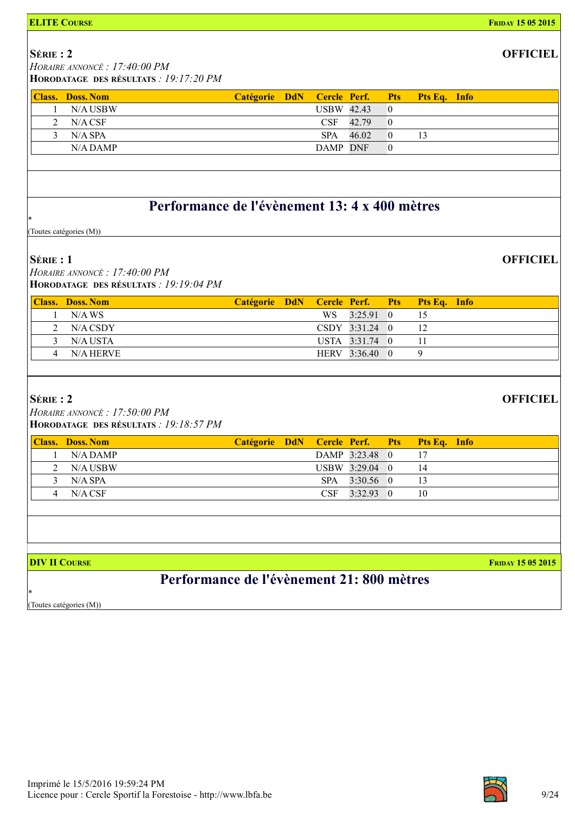| <b>ELITE COURSE</b>                                                                    |               |                                   |                |                              |              | <b>FRIDAY 15 05 2015</b> |
|----------------------------------------------------------------------------------------|---------------|-----------------------------------|----------------|------------------------------|--------------|--------------------------|
| $S$ érie: 2<br>HORAIRE ANNONCÉ : 17:40:00 PM<br>HORODATAGE DES RÉSULTATS : 19:17:20 PM |               |                                   |                |                              |              | <b>OFFICIEL</b>          |
|                                                                                        |               |                                   |                |                              |              |                          |
| <b>Class. Doss. Nom</b><br>N/A USBW<br>1                                               | Catégorie DdN | Cercle Perf.<br><b>USBW 42.43</b> |                | <b>Pts</b><br>$\overline{0}$ | Pts Eq. Info |                          |
| $N/A$ CSF<br>2                                                                         |               | CSF                               | 42.79          | $\overline{0}$               |              |                          |
| 3<br>$N/A$ SPA                                                                         |               | <b>SPA</b>                        | 46.02          | $\overline{0}$               | 13           |                          |
| N/A DAMP                                                                               |               | DAMP DNF                          |                | $\overline{0}$               |              |                          |
|                                                                                        |               |                                   |                |                              |              |                          |
|                                                                                        |               |                                   |                |                              |              |                          |
| Performance de l'évènement 13: 4 x 400 mètres<br>$\ast$                                |               |                                   |                |                              |              |                          |
| (Toutes catégories (M))                                                                |               |                                   |                |                              |              |                          |
| $S$ érie : 1<br>HORAIRE ANNONCÉ : 17:40:00 PM                                          |               |                                   |                |                              |              | <b>OFFICIEL</b>          |
| HORODATAGE DES RÉSULTATS : 19:19:04 PM                                                 |               |                                   |                |                              |              |                          |
| <b>Class. Doss. Nom</b>                                                                | Catégorie DdN | Cercle Perf.                      |                | <b>Pts</b>                   | Pts Eq. Info |                          |
| N/AWS<br>$\mathbf{1}$                                                                  |               | WS                                | 3:25.91        | $\theta$                     | 15           |                          |
| 2<br>N/A CSDY                                                                          |               |                                   | CSDY 3:31.24 0 |                              | 12           |                          |
| 3<br>N/A USTA                                                                          |               |                                   | USTA 3:31.74 0 |                              | 11           |                          |
| N/A HERVE<br>4                                                                         |               |                                   | HERV 3:36.40 0 |                              | 9            |                          |
|                                                                                        |               |                                   |                |                              |              |                          |
| SÉRIE: 2                                                                               |               |                                   |                |                              |              | <b>OFFICIEL</b>          |
| HORAIRE ANNONCÉ : 17:50:00 PM                                                          |               |                                   |                |                              |              |                          |
| HORODATAGE DES RÉSULTATS : 19:18:57 PM                                                 |               |                                   |                |                              |              |                          |
| <b>Class. Doss. Nom</b>                                                                | Catégorie DdN | Cercle Perf.                      |                | <b>Pts</b>                   | Pts Eq. Info |                          |
| N/A DAMP<br>1                                                                          |               |                                   | DAMP 3:23.48 0 |                              | 17           |                          |
| N/A USBW<br>2                                                                          |               |                                   | USBW 3:29.04 0 |                              | 14           |                          |
| 3<br>N/A SPA                                                                           |               | <b>SPA</b>                        | $3:30.56$ 0    |                              | 13           |                          |
| $N/A$ CSF<br>4                                                                         |               | CSF                               | 3:32.93 0      |                              | 10           |                          |
|                                                                                        |               |                                   |                |                              |              |                          |
|                                                                                        |               |                                   |                |                              |              |                          |
| <b>DIV II COURSE</b>                                                                   |               |                                   |                |                              |              | <b>FRIDAY 15 05 2015</b> |
| Performance de l'évènement 21:800 mètres                                               |               |                                   |                |                              |              |                          |
| *<br>(Toutes catégories (M))                                                           |               |                                   |                |                              |              |                          |
|                                                                                        |               |                                   |                |                              |              |                          |

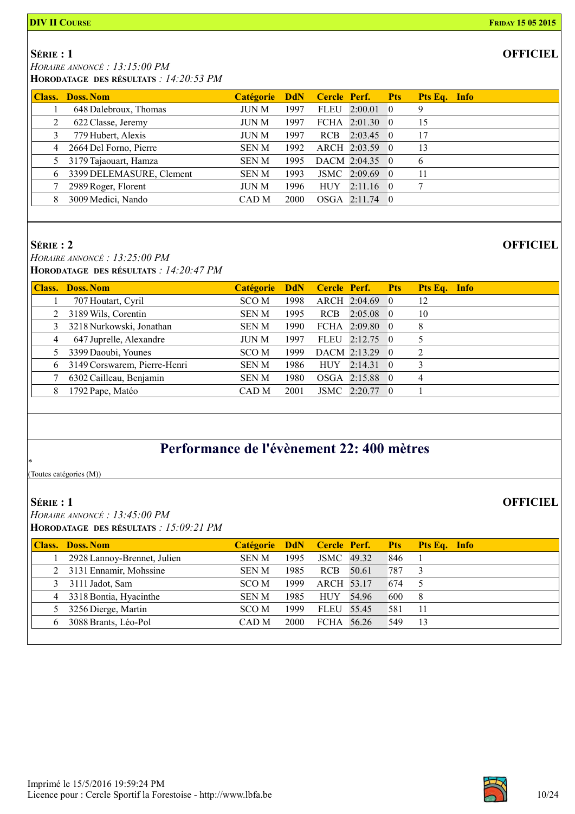SÉRIE : 1

 HORAIRE ANNONCÉ : 13:15:00 PM HORODATAGE DES RÉSULTATS : 14:20:53 PM

| Class. | <b>Doss. Nom</b>         | <b>Catégorie</b> |      |             | <b>DdN</b> Cercle Perf. Pts |                    | Pts Eq. Info |  |
|--------|--------------------------|------------------|------|-------------|-----------------------------|--------------------|--------------|--|
|        | 648 Dalebroux, Thomas    | JUN M            | 1997 | <b>FLEU</b> | 2:00.01                     | $\hspace{0.6cm} 0$ | 9            |  |
| 2      | 622 Classe, Jeremy       | JUN M            | 1997 |             | FCHA $2:01.30$ 0            |                    | 15           |  |
|        | 779 Hubert, Alexis       | JUN M            | 1997 | <b>RCB</b>  | $2:03.45 \quad 0$           |                    | 17           |  |
| 4      | 2664 Del Forno, Pierre   | <b>SENM</b>      | 1992 |             | ARCH 2:03.59 0              |                    | 13           |  |
|        | 3179 Tajaouart, Hamza    | <b>SENM</b>      | 1995 |             | DACM 2:04.35 0              |                    | 6            |  |
| 6      | 3399 DELEMASURE, Clement | <b>SENM</b>      | 1993 |             | JSMC 2:09.69 0              |                    | 11           |  |
|        | 2989 Roger, Florent      | JUN M            | 1996 | <b>HUY</b>  | $2:11.16$ 0                 |                    |              |  |
|        | 3009 Medici, Nando       | CAD M            | 2000 |             | OSGA 2:11.74 0              |                    |              |  |

#### SÉRIE : 2

HORAIRE ANNONCÉ : 13:25:00 PM HORODATAGE DES RÉSULTATS : 14:20:47 PM

|   | <b>Class. Doss. Nom</b>      | Catégorie DdN Cercle Perf. Pts |      |            |                  |          | Pts Eq. Info |  |
|---|------------------------------|--------------------------------|------|------------|------------------|----------|--------------|--|
|   | 707 Houtart, Cyril           | SCO M                          | 1998 |            | ARCH 2:04.69     | $\theta$ | 12           |  |
|   | 3189 Wils, Corentin          | <b>SEN M</b>                   | 1995 | <b>RCB</b> | $2:05.08$ 0      |          | 10           |  |
|   | 3218 Nurkowski, Jonathan     | <b>SEN M</b>                   | 1990 |            | FCHA $2:09.80$ 0 |          | 8            |  |
| 4 | 647 Juprelle, Alexandre      | <b>JUN M</b>                   | 1997 |            | FLEU 2:12.75 0   |          |              |  |
|   | 3399 Daoubi, Younes          | SCO M                          | 1999 |            | DACM 2:13.29 0   |          | C            |  |
| 6 | 3149 Corswarem, Pierre-Henri | <b>SEN M</b>                   | 1986 | <b>HUY</b> | $2:14.31\quad 0$ |          |              |  |
|   | 6302 Cailleau, Benjamin      | <b>SENM</b>                    | 1980 |            | OSGA 2:15.88 0   |          | 4            |  |
|   | 1792 Pape, Matéo             | CAD M                          | 2001 |            | JSMC 2:20.77 0   |          |              |  |

### Performance de l'évènement 22: 400 mètres

(Toutes catégories (M))

### SÉRIE : 1

\*

 HORAIRE ANNONCÉ : 13:45:00 PM HORODATAGE DES RÉSULTATS : 15:09:21 PM

|    | <b>Class. Doss. Nom</b>     |              |      |            |       |     | Catégorie DdN Cercle Perf. Pts Pts Eq. Info |
|----|-----------------------------|--------------|------|------------|-------|-----|---------------------------------------------|
|    | 2928 Lannoy-Brennet, Julien | <b>SENM</b>  | 1995 | JSMC 49.32 |       | 846 |                                             |
|    | 2 3131 Ennamir, Mohssine    | <b>SEN M</b> | 1985 | <b>RCB</b> | 50.61 | 787 |                                             |
|    | 3111 Jadot, Sam             | SCO M        | 1999 | ARCH 53.17 |       | 674 |                                             |
|    | 4 3318 Bontia, Hyacinthe    | <b>SEN M</b> | 1985 | HUY        | 54.96 | 600 | 8                                           |
| 5  | 3256 Dierge, Martin         | SCO M        | 1999 | FLEU 55.45 |       | 581 | -11                                         |
| 6. | 3088 Brants, Léo-Pol        | CAD M        | 2000 | FCHA 56.26 |       | 549 | 13                                          |
|    |                             |              |      |            |       |     |                                             |



**OFFICIEL**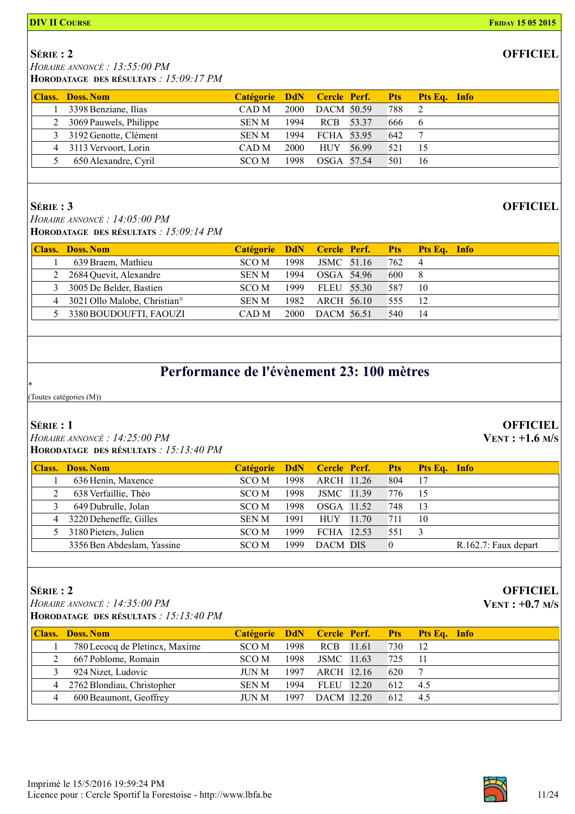#### **DIV II COURSE FRIDAY 15 05 2015**

### SÉRIE : 2

 HORAIRE ANNONCÉ : 13:55:00 PM HORODATAGE DES RÉSULTATS : 15:09:17 PM

| <b>Class. Doss. Nom</b>  | Catégorie DdN Cercle Perf. Pts Pts Eq. Info |      |            |       |     |                 |  |
|--------------------------|---------------------------------------------|------|------------|-------|-----|-----------------|--|
| 3398 Benziane, Ilias     | CAD M                                       | 2000 | DACM 50.59 |       | 788 |                 |  |
| 2 3069 Pauwels, Philippe | SEN M                                       | 1994 | RCB 53.37  |       | 666 | $6\phantom{0}6$ |  |
| 3 3192 Genotte, Clément  | <b>SEN M</b>                                | 1994 | FCHA 53.95 |       | 642 |                 |  |
| 4 3113 Vervoort, Lorin   | CAD M                                       | 2000 | HUY        | 56.99 | 521 | -15             |  |
| 650 Alexandre, Cyril     | SCO M                                       | 1998 | OSGA 57.54 |       | 501 | -16             |  |

### SÉRIE : 3

 HORAIRE ANNONCÉ : 14:05:00 PM HORODATAGE DES RÉSULTATS : 15:09:14 PM

|   | <b>Class. Doss. Nom</b>                  |       |             |            |            | Catégorie DdN Cercle Perf. Pts Pts Eq. Info |
|---|------------------------------------------|-------|-------------|------------|------------|---------------------------------------------|
|   | 639 Braem, Mathieu                       | SCO M | 1998        | JSMC 51.16 | 762        | 4                                           |
|   | 2 2684 Quevit, Alexandre                 | SEN M | 1994        | OSGA 54.96 | <b>600</b> | - 8                                         |
|   | 3005 De Belder, Bastien                  | SCO M | 1999        | FLEU 55.30 | 587        | -10                                         |
| 4 | 3021 Ollo Malobe, Christian <sup>o</sup> | SEN M | 1982        | ARCH 56.10 | 555        | 12                                          |
|   | 5 3380 BOUDOUFTI, FAOUZI                 | CAD M | <b>2000</b> | DACM 56.51 | 540        | 14                                          |

### Performance de l'évènement 23: 100 mètres

(Toutes catégories (M))

#### SÉRIE : 1

\*

 HORAIRE ANNONCÉ : 14:25:00 PM HORODATAGE DES RÉSULTATS : 15:13:40 PM

|   | <b>Class. Doss. Nom</b>    | Catégorie DdN Cercle Perf. Pts Pts Eq. Info |      |            |       |     |     |                      |
|---|----------------------------|---------------------------------------------|------|------------|-------|-----|-----|----------------------|
|   | 636 Henin, Maxence         | SCO M                                       | 1998 | ARCH 11.26 |       | 804 | 17  |                      |
|   | 638 Verfaillie, Théo       | SCO M                                       | 1998 | JSMC 11.39 |       | 776 | -15 |                      |
|   | 649 Dubrulle, Jolan        | SCO M                                       | 1998 | OSGA 11.52 |       | 748 | 13  |                      |
| 4 | 3220 Deheneffe, Gilles     | <b>SEN M</b>                                | 1991 | HUY        | 11.70 | 711 | 10  |                      |
|   | 3180 Pieters, Julien       | SCO M                                       | 1999 | FCHA 12.53 |       | 551 |     |                      |
|   | 3356 Ben Abdeslam, Yassine | SCO M                                       | 1999 | DACM DIS   |       |     |     | R.162.7: Faux depart |

### SÉRIE : 2

 HORAIRE ANNONCÉ : 14:35:00 PM HORODATAGE DES RÉSULTATS : 15:13:40 PM

|   | <b>Class. Doss. Nom</b>        |              |      |            |       |     | Catégorie DdN Cercle Perf. Pts Pts Eq. Info |
|---|--------------------------------|--------------|------|------------|-------|-----|---------------------------------------------|
|   | 780 Lecocq de Pletincx, Maxime | SCO M        | 1998 | <b>RCB</b> | 11.61 | 730 | 12                                          |
|   | 667 Poblome, Romain            | SCO M        | 1998 | JSMC 11.63 |       | 725 | -11                                         |
|   | 924 Nizet, Ludovic             | JUN M        | 1997 | ARCH 12.16 |       | 620 |                                             |
| 4 | 2762 Blondiau, Christopher     | <b>SEN M</b> | 1994 | FLEU 12.20 |       | 612 | -4.5                                        |
|   | 600 Beaumont, Geoffrey         | JUN M        | 1997 | DACM 12.20 |       | 612 | 4.5                                         |

### **OFFICIEL**

### **OFFICIEL**

**OFFICIEL** 

VENT : +1.6 M/S

### **OFFICIEL**

VENT : +0.7 M/S

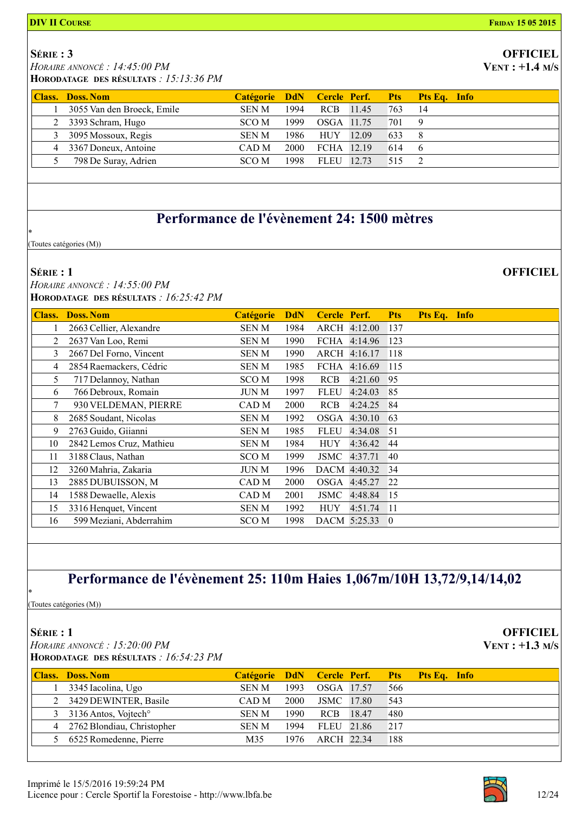### SÉRIE : 3

HORAIRE ANNONCÉ : 14:45:00 PM

HORODATAGE DES RÉSULTATS : 15:13:36 PM

| <b>Class. Doss. Nom</b>    |              |      |            |     | Catégorie DdN Cercle Perf. Pts Pts Eq. Info |
|----------------------------|--------------|------|------------|-----|---------------------------------------------|
| 3055 Van den Broeck, Emile | <b>SEN M</b> | 1994 | RCB 11.45  | 763 | 14                                          |
| 2 3393 Schram, Hugo        | SCO M        | 1999 | OSGA 11.75 | 701 |                                             |
| 3 3095 Mossoux, Regis      | <b>SEN M</b> | 1986 | HUY 12.09  | 633 |                                             |
| 4 3367 Doneux, Antoine     | CAD M        | 2000 | FCHA 12.19 | 614 | -6                                          |
| 798 De Suray, Adrien       | SCO M        | 1998 | FLEU 12.73 | 515 |                                             |

### Performance de l'évènement 24: 1500 mètres

(Toutes catégories (M))

#### SÉRIE : 1

\*

 HORAIRE ANNONCÉ : 14:55:00 PM HORODATAGE DES RÉSULTATS : 16:25:42 PM

| <b>Class.</b> | <b>Doss. Nom</b>         | Catégorie        | <b>DdN</b> | Cercle Perf. |              | <b>Pts</b>     | Pts Eq. Info |  |
|---------------|--------------------------|------------------|------------|--------------|--------------|----------------|--------------|--|
|               | 2663 Cellier, Alexandre  | <b>SENM</b>      | 1984       |              | ARCH 4:12.00 | 137            |              |  |
| 2             | 2637 Van Loo, Remi       | <b>SENM</b>      | 1990       | FCHA         | 4:14.96      | 123            |              |  |
| 3             | 2667 Del Forno, Vincent  | SEN M            | 1990       |              | ARCH 4:16.17 | <sup>118</sup> |              |  |
| 4             | 2854 Raemackers, Cédric  | <b>SENM</b>      | 1985       | FCHA         | 4:16.69      | 115            |              |  |
| 5             | 717 Delannoy, Nathan     | SCO <sub>M</sub> | 1998       | <b>RCB</b>   | 4:21.60      | 95             |              |  |
| 6             | 766 Debroux, Romain      | JUN M            | 1997       | <b>FLEU</b>  | 4:24.03      | 85             |              |  |
| 7             | 930 VELDEMAN, PIERRE     | CAD M            | 2000       | <b>RCB</b>   | 4:24.25      | -84            |              |  |
| 8             | 2685 Soudant, Nicolas    | SEN M            | 1992       | OSGA         | 4:30.10      | 63             |              |  |
| 9             | 2763 Guido, Giianni      | <b>SENM</b>      | 1985       | <b>FLEU</b>  | 4:34.08      | 51             |              |  |
| 10            | 2842 Lemos Cruz, Mathieu | SEN M            | 1984       | <b>HUY</b>   | 4:36.42      | 44             |              |  |
| 11            | 3188 Claus, Nathan       | SCO <sub>M</sub> | 1999       | JSMC         | 4:37.71      | 40             |              |  |
| 12            | 3260 Mahria, Zakaria     | JUN M            | 1996       |              | DACM 4:40.32 | 34             |              |  |
| 13            | 2885 DUBUISSON, M        | CAD <sub>M</sub> | 2000       | OSGA         | 4:45.27      | 22             |              |  |
| 14            | 1588 Dewaelle, Alexis    | CAD M            | 2001       | JSMC         | 4:48.84      | <sup>15</sup>  |              |  |
| 15            | 3316 Henquet, Vincent    | SEN M            | 1992       | <b>HUY</b>   | 4:51.74      | -11            |              |  |
| 16            | 599 Meziani, Abderrahim  | SCO <sub>M</sub> | 1998       |              | DACM 5:25.33 | $\overline{0}$ |              |  |

### Performance de l'évènement 25: 110m Haies 1,067m/10H 13,72/9,14/14,02

(Toutes catégories (M))

### SÉRIE : 1

\*

 HORAIRE ANNONCÉ : 15:20:00 PM HORODATAGE DES RÉSULTATS : 16:54:23 PM

| <b>Class. Doss. Nom</b>            |              |      |            |     | Catégorie DdN Cercle Perf. Pts Pts Eq. Info |
|------------------------------------|--------------|------|------------|-----|---------------------------------------------|
| 3345 Iacolina, Ugo                 | <b>SEN M</b> | 1993 | OSGA 17.57 | 566 |                                             |
| 2 3429 DEWINTER, Basile            | CAD M        | 2000 | JSMC 17.80 | 543 |                                             |
| 3 3136 Antos, Vojtech <sup>o</sup> | <b>SEN M</b> | 1990 | RCB 18.47  | 480 |                                             |
| 4 2762 Blondiau, Christopher       | SEN M        | 1994 | FLEU 21.86 | 217 |                                             |
| 5 6525 Romedenne, Pierre           | M35          | 1976 | ARCH 22.34 | 188 |                                             |



**OFFICIEL**  $VENT : +1.3 M/s$ 

# **OFFICIEL**

VENT : +1.4 M/S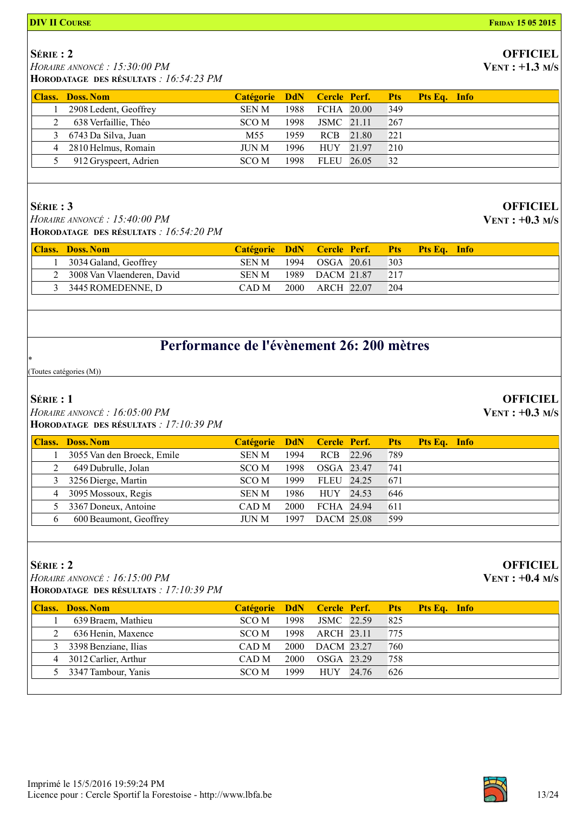#### **DIV II COURSE FRIDAY 15 05 2015**

### SÉRIE : 2

HORAIRE ANNONCÉ : 15:30:00 PM

HORODATAGE DES RÉSULTATS : 16:54:23 PM

| <b>Class. Doss. Nom</b> | Catégorie DdN Cercle Perf. Pts Pts Eq. Info |      |            |       |     |  |
|-------------------------|---------------------------------------------|------|------------|-------|-----|--|
| 2908 Ledent, Geoffrey   | <b>SEN M</b>                                | 1988 | FCHA 20.00 |       | 349 |  |
| 638 Verfaillie, Théo    | SCO M                                       | 1998 | JSMC 21.11 |       | 267 |  |
| 3 6743 Da Silva, Juan   | M <sub>55</sub>                             | 1959 | <b>RCB</b> | 21.80 | 221 |  |
| 4 2810 Helmus, Romain   | JUN M                                       | 1996 | HUY 21.97  |       | 210 |  |
| 912 Gryspeert, Adrien   | SCO M                                       | 1998 | FLEU 26.05 |       | 32  |  |

### SÉRIE : 3

 HORAIRE ANNONCÉ : 15:40:00 PM HORODATAGE DES RÉSULTATS : 16:54:20 PM

| <b>Class.</b> Doss. Nom      | Catégorie DdN Cercle Perf. Pts Pts Eq. Info |      |                 |     |  |
|------------------------------|---------------------------------------------|------|-----------------|-----|--|
| 3034 Galand, Geoffrey        | SEN M                                       |      | 1994 OSGA 20.61 | 303 |  |
| 2 3008 Van Vlaenderen, David | SEN M                                       |      | 1989 DACM 21.87 | 217 |  |
| 3 3445 ROMEDENNE, D          | CAD M                                       | 2000 | ARCH 22.07      | 204 |  |
|                              |                                             |      |                 |     |  |

### Performance de l'évènement 26: 200 mètres

(Toutes catégories (M))

### SÉRIE : 1

\*

 HORAIRE ANNONCÉ : 16:05:00 PM HORODATAGE DES RÉSULTATS : 17:10:39 PM

|                | <b>Class. Doss. Nom</b>    | Catégorie DdN Cercle Perf. Pts |       |            |       |     | <b>Pts Eq.</b> Info |  |
|----------------|----------------------------|--------------------------------|-------|------------|-------|-----|---------------------|--|
|                | 3055 Van den Broeck, Emile | <b>SENM</b>                    | 1994  | <b>RCB</b> | 22.96 | 789 |                     |  |
|                | 649 Dubrulle, Jolan        | SCO M                          | 1998  | OSGA 23.47 |       | 741 |                     |  |
| 3              | 3256 Dierge, Martin        | SCO M                          | 1999. | FLEU 24.25 |       | 671 |                     |  |
| $\overline{4}$ | 3095 Mossoux, Regis        | <b>SEN M</b>                   | 1986  | <b>HUY</b> | 24.53 | 646 |                     |  |
|                | 3367 Doneux, Antoine       | CAD M                          | 2000  | FCHA 24.94 |       | 611 |                     |  |
| 6.             | 600 Beaumont, Geoffrey     | <b>JUN M</b>                   | 1997  | DACM 25.08 |       | 599 |                     |  |

### SÉRIE : 2

 HORAIRE ANNONCÉ : 16:15:00 PM HORODATAGE DES RÉSULTATS : 17:10:39 PM

|   | <b>Class. Doss. Nom</b> | Catégorie DdN Cercle Perf. Pts Pts Eq. Info |       |            |     |  |
|---|-------------------------|---------------------------------------------|-------|------------|-----|--|
|   | 639 Braem, Mathieu      | SCO M                                       | 1998  | JSMC 22.59 | 825 |  |
| 2 | 636 Henin, Maxence      | SCO M                                       | 1998  | ARCH 23.11 | 775 |  |
|   | 3 3398 Benziane, Ilias  | CAD M                                       | 2000  | DACM 23.27 | 760 |  |
|   | 4 3012 Carlier, Arthur  | CAD M                                       | 2000  | OSGA 23.29 | 758 |  |
|   | 5 3347 Tambour, Yanis   | SCO M                                       | 1999. | HUY 24.76  | 626 |  |
|   |                         |                                             |       |            |     |  |



#### **OFFICIEL** VENT : +1.3 M/S

**OFFICIEL**  $VENT : +0.3 M/s$ 

**OFFICIEL** 

VENT : +0.3 M/S

### **OFFICIEL**  $VENT: +0.4 M/s$

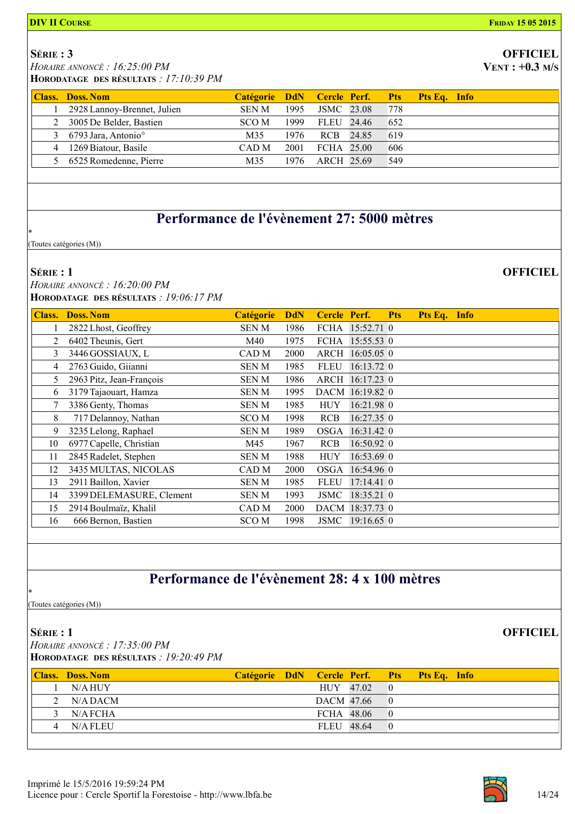### SÉRIE : 3

HORAIRE ANNONCÉ : 16:25:00 PM

HORODATAGE DES RÉSULTATS : 17:10:39 PM

| <b>Class. Doss. Nom</b>           |       |      |            |     | Catégorie DdN Cercle Perf. Pts Pts Eq. Info |
|-----------------------------------|-------|------|------------|-----|---------------------------------------------|
| 2928 Lannoy-Brennet, Julien       | SEN M | 1995 | JSMC 23.08 | 778 |                                             |
| 2 3005 De Belder, Bastien         | SCO M | 1999 | FLEU 24.46 | 652 |                                             |
| 3 6793 Jara, Antonio <sup>o</sup> | M35   | 1976 | RCB 24.85  | 619 |                                             |
| 4 1269 Biatour, Basile            | CAD M | 2001 | FCHA 25.00 | 606 |                                             |
| 5 6525 Romedenne, Pierre          | M35   | 1976 | ARCH 25.69 | 549 |                                             |

### Performance de l'évènement 27: 5000 mètres

(Toutes catégories (M))

#### SÉRIE : 1

\*

 HORAIRE ANNONCÉ : 16:20:00 PM HORODATAGE DES RÉSULTATS : 19:06:17 PM

| <b>Class.</b> | <b>Doss. Nom</b>         | <b>Catégorie</b> | <b>DdN</b> | Cercle Perf. |                 | <b>Pts</b> | Pts Eq. Info |  |
|---------------|--------------------------|------------------|------------|--------------|-----------------|------------|--------------|--|
|               | 2822 Lhost, Geoffrey     | SEN M            | 1986       |              | FCHA 15:52.71 0 |            |              |  |
| 2             | 6402 Theunis, Gert       | M40              | 1975       |              | FCHA 15:55.53 0 |            |              |  |
| 3             | 3446 GOSSIAUX, L         | CAD M            | 2000       |              | ARCH 16:05.05 0 |            |              |  |
| 4             | 2763 Guido, Giianni      | <b>SENM</b>      | 1985       | <b>FLEU</b>  | 16:13.72 0      |            |              |  |
| 5             | 2963 Pitz, Jean-François | <b>SENM</b>      | 1986       |              | ARCH 16:17.23 0 |            |              |  |
| 6             | 3179 Tajaouart, Hamza    | SEN M            | 1995       |              | DACM 16:19.82 0 |            |              |  |
| 7             | 3386 Genty, Thomas       | SEN M            | 1985       | <b>HUY</b>   | 16:21.98 0      |            |              |  |
| 8             | 717 Delannoy, Nathan     | SCO M            | 1998       | <b>RCB</b>   | $16:27.35$ 0    |            |              |  |
| 9             | 3235 Lelong, Raphael     | <b>SENM</b>      | 1989       | OSGA         | 16:31.42 0      |            |              |  |
| 10            | 6977 Capelle, Christian  | M45              | 1967       | <b>RCB</b>   | $16:50.92$ 0    |            |              |  |
| 11            | 2845 Radelet, Stephen    | <b>SENM</b>      | 1988       | <b>HUY</b>   | $16:53.69$ 0    |            |              |  |
| 12            | 3435 MULTAS, NICOLAS     | CAD M            | 2000       |              | OSGA 16:54.96 0 |            |              |  |
| 13            | 2911 Baillon, Xavier     | <b>SENM</b>      | 1985       | <b>FLEU</b>  | 17:14.41 0      |            |              |  |
| 14            | 3399 DELEMASURE, Clement | SEN M            | 1993       | <b>JSMC</b>  | 18:35.21 0      |            |              |  |
| 15            | 2914 Boulmaïz, Khalil    | CAD M            | 2000       |              | DACM 18:37.73 0 |            |              |  |
| 16            | 666 Bernon, Bastien      | SCO M            | 1998       | JSMC         | 19:16.65 0      |            |              |  |

### Performance de l'évènement 28: 4 x 100 mètres

(Toutes catégories (M))

### SÉRIE : 1

\*

 HORAIRE ANNONCÉ : 17:35:00 PM HORODATAGE DES RÉSULTATS : 19:20:49 PM

| <b>Class. Doss. Nom</b> | Catégorie DdN Cercle Perf. Pts Pts Eq. Info |            |  |  |
|-------------------------|---------------------------------------------|------------|--|--|
| N/A HUY                 |                                             | HUY 47.02  |  |  |
| 2 $N/A$ DACM            |                                             | DACM 47.66 |  |  |
| $3$ N/A FCHA            |                                             | FCHA 48.06 |  |  |
| 4 N/A FLEU              |                                             | FLEU 48.64 |  |  |



**OFFICIEL** 

# **OFFICIEL**

 $VENT: +0.3 M/s$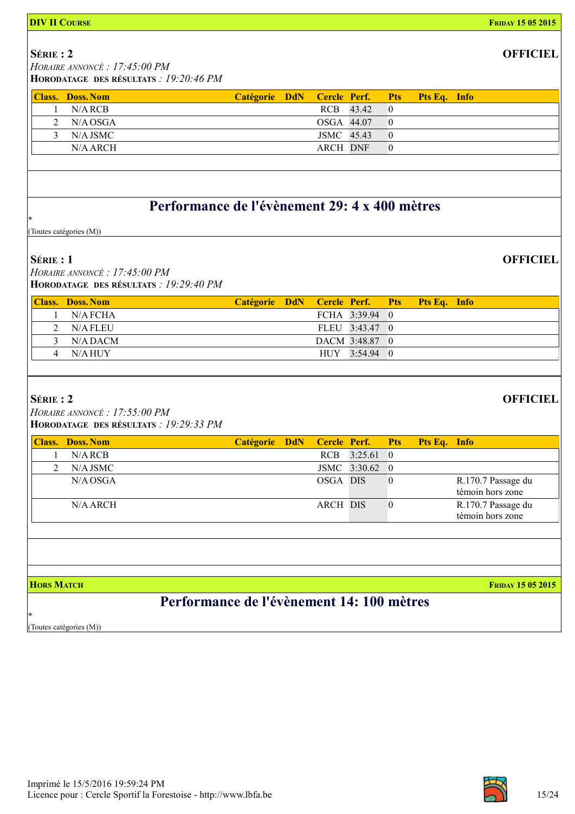| <b>DIV II COURSE</b>                                                                    |                  |            |                     |                |                  |              | <b>FRIDAY 15 05 2015</b>               |
|-----------------------------------------------------------------------------------------|------------------|------------|---------------------|----------------|------------------|--------------|----------------------------------------|
| $S$ érie: 2<br>HORAIRE ANNONCÉ : 17:45:00 PM<br>HORODATAGE DES RÉSULTATS : 19:20:46 PM  |                  |            |                     |                |                  |              | <b>OFFICIEL</b>                        |
| <b>Class. Doss. Nom</b>                                                                 | <b>Catégorie</b> | <b>DdN</b> | Cercle Perf.        |                | <b>Pts</b>       | Pts Eq. Info |                                        |
| $N/A$ RCB<br>1                                                                          |                  |            | RCB                 | 43.42          | $\overline{0}$   |              |                                        |
| $\overline{2}$<br>N/A OSGA                                                              |                  |            | OSGA 44.07          |                | $\overline{0}$   |              |                                        |
| 3<br>N/A JSMC                                                                           |                  |            | JSMC 45.43          |                | $\overline{0}$   |              |                                        |
| N/A ARCH                                                                                |                  |            | <b>ARCH DNF</b>     |                | $\theta$         |              |                                        |
|                                                                                         |                  |            |                     |                |                  |              |                                        |
| Performance de l'évènement 29: 4 x 400 mètres                                           |                  |            |                     |                |                  |              |                                        |
| (Toutes catégories (M))                                                                 |                  |            |                     |                |                  |              |                                        |
| $S$ érie : 1<br>HORAIRE ANNONCÉ : 17:45:00 PM<br>HORODATAGE DES RÉSULTATS : 19:29:40 PM |                  |            |                     |                |                  |              | <b>OFFICIEL</b>                        |
| <b>Class. Doss. Nom</b>                                                                 | <b>Catégorie</b> | <b>DdN</b> | Cercle Perf.        |                | <b>Pts</b>       | Pts Eq. Info |                                        |
| N/A FCHA<br>1                                                                           |                  |            |                     | FCHA 3:39.94   | $\theta$         |              |                                        |
| N/A FLEU<br>2                                                                           |                  |            |                     | FLEU 3:43.47 0 |                  |              |                                        |
| N/A DACM<br>3                                                                           |                  |            |                     | DACM 3:48.87   | $\overline{0}$   |              |                                        |
| N/A HUY<br>4                                                                            |                  |            |                     | HUY 3:54.94 0  |                  |              |                                        |
| SÉRIE: 2<br>HORAIRE ANNONCÉ : 17:55:00 PM<br>HORODATAGE DES RÉSULTATS : 19:29:33 PM     |                  |            |                     |                |                  |              | <b>OFFICIEL</b>                        |
| <b>Class. Doss. Nom</b>                                                                 | <b>Catégorie</b> | <b>DdN</b> | <b>Cercle Perf.</b> |                | <b>Pts</b>       | Pts Eq. Info |                                        |
| $N/A$ RCB<br>1                                                                          |                  |            | RCB                 | 3:25.61        | $\mathbf{0}$     |              |                                        |
| $N/A$ JSMC<br>2                                                                         |                  |            |                     | JSMC 3:30.62   | $\mathbf{0}$     |              |                                        |
| N/A OSGA                                                                                |                  |            | OSGA DIS            |                | $\boldsymbol{0}$ |              | R.170.7 Passage du<br>témoin hors zone |
| N/A ARCH                                                                                |                  |            | <b>ARCH DIS</b>     |                | $\boldsymbol{0}$ |              | R.170.7 Passage du<br>témoin hors zone |
|                                                                                         |                  |            |                     |                |                  |              |                                        |
| <b>HORS MATCH</b>                                                                       |                  |            |                     |                |                  |              | <b>FRIDAY 15 05 2015</b>               |
| Performance de l'évènement 14: 100 mètres<br>冰<br>(Toutes catégories (M))               |                  |            |                     |                |                  |              |                                        |

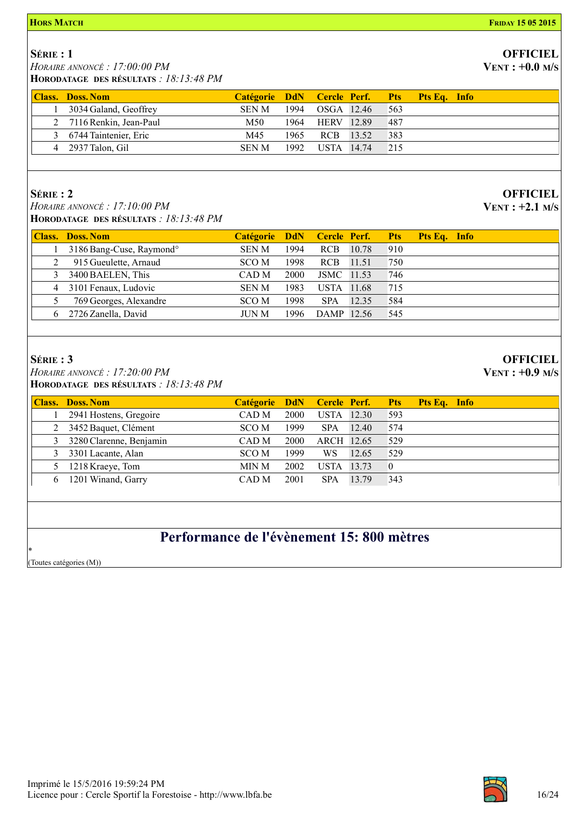#### **HORS MATCH FRIDAY 15 05 2015**

### SÉRIE : 1

 HORAIRE ANNONCÉ : 17:00:00 PM HORODATAGE DES RÉSULTATS : 18:13:48 PM

| <b>Class. Doss. Nom</b>  | Catégorie DdN Cercle Perf. Pts Pts Eq. Info |      |                 |        |  |
|--------------------------|---------------------------------------------|------|-----------------|--------|--|
| 3034 Galand, Geoffrey    | <b>SEN M</b>                                | 1994 | OSGA 12.46      | 563    |  |
| 2 7116 Renkin, Jean-Paul | M50                                         |      | 1964 HERV 12.89 | 487    |  |
| 3 6744 Taintenier, Eric  | M45                                         | 1965 | RCB 13.52       | 383    |  |
| 4 2937 Talon, Gil        | <b>SEN M</b>                                | 1992 | USTA 14.74      | $-215$ |  |

### SÉRIE : 2

 HORAIRE ANNONCÉ : 17:10:00 PM HORODATAGE DES RÉSULTATS : 18:13:48 PM

| <b>Class. Doss. Nom</b>              | Catégorie DdN Cercle Perf. Pts Pts Eq. Info |       |            |       |     |  |
|--------------------------------------|---------------------------------------------|-------|------------|-------|-----|--|
| 3186 Bang-Cuse, Raymond <sup>o</sup> | <b>SENM</b>                                 | 1994  | <b>RCB</b> | 10.78 | 910 |  |
| 915 Gueulette, Arnaud                | SCO M                                       | 1998  | RCB        | 11.51 | 750 |  |
| 3 3400 BAELEN, This                  | CAD M                                       | 2000  | JSMC 11.53 |       | 746 |  |
| 4 3101 Fenaux, Ludovic               | <b>SEN M</b>                                | 1983  | USTA 11.68 |       | 715 |  |
| 769 Georges, Alexandre               | SCO M                                       | 1998. | <b>SPA</b> | 12.35 | 584 |  |
| 6 2726 Zanella, David                | <b>JUN M</b>                                | 1996  | DAMP 12.56 |       | 545 |  |

### SÉRIE : 3

 HORAIRE ANNONCÉ : 17:20:00 PM HORODATAGE DES RÉSULTATS : 18:13:48 PM

|    | <b>Class. Doss. Nom</b>   | Catégorie DdN Cercle Perf. Pts |      |            |       |     | Pts Eq. Info |  |
|----|---------------------------|--------------------------------|------|------------|-------|-----|--------------|--|
|    | 2941 Hostens, Gregoire    | CAD M                          | 2000 | USTA 12.30 |       | 593 |              |  |
|    | 2 3452 Baquet, Clément    | SCO M                          | 1999 | <b>SPA</b> | 12.40 | 574 |              |  |
|    | 3 3280 Clarenne, Benjamin | CAD M                          | 2000 | ARCH 12.65 |       | 529 |              |  |
| 3  | 3301 Lacante, Alan        | SCO M                          | 1999 | WS.        | 12.65 | 529 |              |  |
|    | 1218 Kraeye, Tom          | MIN M                          | 2002 | USTA 13.73 |       |     |              |  |
| 6. | 1201 Winand, Garry        | CAD M                          | 2001 | <b>SPA</b> | 13.79 | 343 |              |  |
|    |                           |                                |      |            |       |     |              |  |

## Performance de l'évènement 15: 800 mètres

\* (Toutes catégories (M))



## **OFFICIEL**

 $VENT: +0.0 M/s$ 

**OFFICIEL** VENT : +2.1 M/S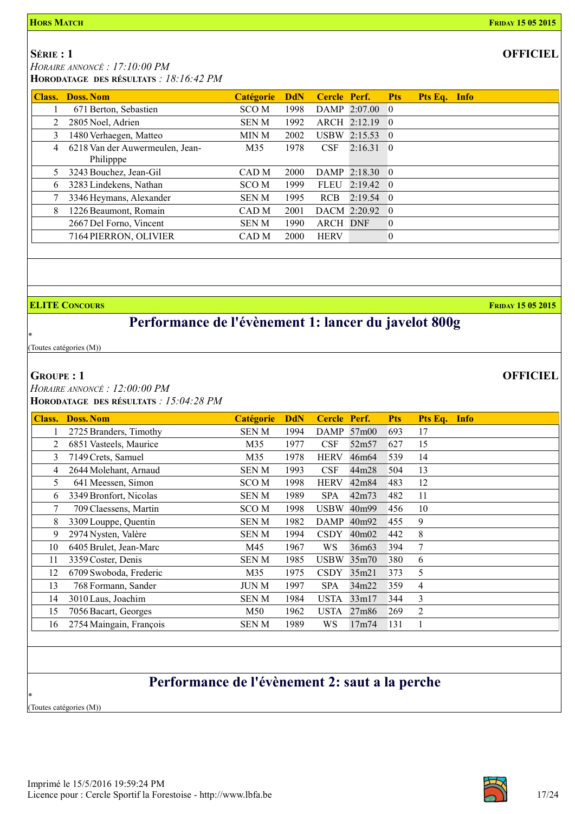**OFFICIEL** 

SÉRIE : 1

HORAIRE ANNONCÉ : 17:10:00 PM

HORODATAGE DES RÉSULTATS : 18:16:42 PM

|   | <b>Class. Doss. Nom</b>                      | <b>Catégorie</b> | <b>DdN</b> | Cercle Perf.    |                   | <b>Pts</b>       | Pts Eq. Info |  |
|---|----------------------------------------------|------------------|------------|-----------------|-------------------|------------------|--------------|--|
|   | 671 Berton, Sebastien                        | SCO <sub>M</sub> | 1998       |                 | DAMP $2:07.00$ 0  |                  |              |  |
|   | 2805 Noel, Adrien                            | <b>SENM</b>      | 1992       |                 | ARCH 2:12.19 0    |                  |              |  |
| 3 | 1480 Verhaegen, Matteo                       | MIN M            | 2002       |                 | USBW 2:15.53 0    |                  |              |  |
| 4 | 6218 Van der Auwermeulen, Jean-<br>Philipppe | M35              | 1978       | <b>CSF</b>      | $2:16.31\quad 0$  |                  |              |  |
| 5 | 3243 Bouchez, Jean-Gil                       | CAD M            | 2000       |                 | DAMP 2:18.30 0    |                  |              |  |
| 6 | 3283 Lindekens, Nathan                       | SCO <sub>M</sub> | 1999       | <b>FLEU</b>     | $2:19.42 \quad 0$ |                  |              |  |
|   | 3346 Heymans, Alexander                      | <b>SEN M</b>     | 1995       | <b>RCB</b>      | $2:19.54$ 0       |                  |              |  |
| 8 | 1226 Beaumont, Romain                        | CAD <sub>M</sub> | 2001       |                 | DACM 2:20.92 0    |                  |              |  |
|   | 2667 Del Forno, Vincent                      | <b>SENM</b>      | 1990       | <b>ARCH DNF</b> |                   | $\mathbf{0}$     |              |  |
|   | 7164 PIERRON, OLIVIER                        | CAD <sub>M</sub> | 2000       | <b>HERV</b>     |                   | $\boldsymbol{0}$ |              |  |
|   |                                              |                  |            |                 |                   |                  |              |  |

**ELITE CONCOURS FRIDAY 15 05 2015** 

### Performance de l'évènement 1: lancer du javelot 800g

\* (Toutes catégories (M))

### GROUPE : 1

 HORAIRE ANNONCÉ : 12:00:00 PM HORODATAGE DES RÉSULTATS : 15:04:28 PM

| <b>Class.</b> | <b>Doss. Nom</b>        | <b>Catégorie</b> | <b>DdN</b> | Cercle Perf. |                   | <b>Pts</b> | Pts Eq. Info |
|---------------|-------------------------|------------------|------------|--------------|-------------------|------------|--------------|
|               | 2725 Branders, Timothy  | <b>SENM</b>      | 1994       | <b>DAMP</b>  | 57m00             | 693        | 17           |
| 2             | 6851 Vasteels, Maurice  | M35              | 1977       | CSF          | 52m57             | 627        | 15           |
| 3             | 7149 Crets, Samuel      | M35              | 1978       | <b>HERV</b>  | 46m64             | 539        | 14           |
| 4             | 2644 Molehant, Arnaud   | <b>SENM</b>      | 1993       | CSF          | 44m28             | 504        | 13           |
| 5             | 641 Meessen, Simon      | SCO M            | 1998       | <b>HERV</b>  | 42m84             | 483        | 12           |
| 6             | 3349 Bronfort, Nicolas  | <b>SENM</b>      | 1989       | <b>SPA</b>   | 42m73             | 482        | 11           |
| 7             | 709 Claessens, Martin   | SCO M            | 1998       | <b>USBW</b>  | 40m99             | 456        | 10           |
| 8             | 3309 Louppe, Quentin    | <b>SENM</b>      | 1982       | <b>DAMP</b>  | 40m92             | 455        | 9            |
| 9             | 2974 Nysten, Valère     | <b>SENM</b>      | 1994       | <b>CSDY</b>  | 40m <sub>02</sub> | 442        | 8            |
| 10            | 6405 Brulet, Jean-Marc  | M45              | 1967       | WS           | 36m <sub>63</sub> | 394        | 7            |
| 11            | 3359 Coster, Denis      | <b>SENM</b>      | 1985       | <b>USBW</b>  | 35m70             | 380        | 6            |
| 12            | 6709 Swoboda, Frederic  | M35              | 1975       | <b>CSDY</b>  | 35m21             | 373        | 5            |
| 13            | 768 Formann, Sander     | JUN M            | 1997       | <b>SPA</b>   | 34m22             | 359        | 4            |
| 14            | 3010 Laus, Joachim      | <b>SENM</b>      | 1984       | <b>USTA</b>  | 33m17             | 344        | 3            |
| 15            | 7056 Bacart, Georges    | M50              | 1962       | <b>USTA</b>  | 27m86             | 269        | 2            |
| 16            | 2754 Maingain, François | SEN M            | 1989       | WS           | 17m74             | 131        |              |

## Performance de l'évènement 2: saut a la perche

(Toutes catégories (M))

\*

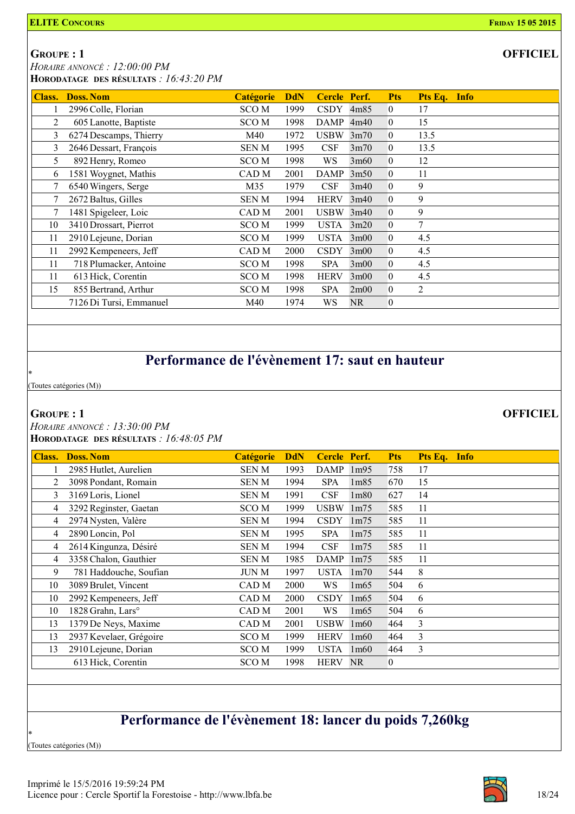**OFFICIEL** 

GROUPE : 1

 HORAIRE ANNONCÉ : 12:00:00 PM HORODATAGE DES RÉSULTATS : 16:43:20 PM

| <b>Class.</b> | <b>Doss. Nom</b>        | <b>Catégorie</b> | <b>DdN</b> | Cercle Perf. |                | <b>Pts</b>     | Pts Eq.<br><b>Info</b> |
|---------------|-------------------------|------------------|------------|--------------|----------------|----------------|------------------------|
|               | 2996 Colle, Florian     | SCO <sub>M</sub> | 1999       | <b>CSDY</b>  | 4m85           | 0              | 17                     |
| 2             | 605 Lanotte, Baptiste   | SCO M            | 1998       | DAMP         | 4m40           | 0              | 15                     |
| 3             | 6274 Descamps, Thierry  | M40              | 1972       | <b>USBW</b>  | 3m70           | 0              | 13.5                   |
| 3             | 2646 Dessart, François  | SEN M            | 1995       | <b>CSF</b>   | 3m70           | 0              | 13.5                   |
| 5.            | 892 Henry, Romeo        | SCO <sub>M</sub> | 1998       | WS.          | 3m60           | 0              | 12                     |
| 6             | 1581 Woygnet, Mathis    | CAD M            | 2001       | <b>DAMP</b>  | 3m50           | 0              | 11                     |
| 7             | 6540 Wingers, Serge     | M35              | 1979       | <b>CSF</b>   | 3m40           | $\Omega$       | 9                      |
|               | 2672 Baltus, Gilles     | SEN M            | 1994       | <b>HERV</b>  | 3m40           | 0              | 9                      |
|               | 1481 Spigeleer, Loic    | CAD M            | 2001       | $USBW$ 3m40  |                | 0              | 9                      |
| 10            | 3410 Drossart, Pierrot  | SCO M            | 1999       | USTA         | 3m20           | 0              | $\tau$                 |
| 11            | 2910 Lejeune, Dorian    | SCO M            | 1999       | <b>USTA</b>  | 3m00           | $\overline{0}$ | 4.5                    |
| 11            | 2992 Kempeneers, Jeff   | CAD M            | 2000       | <b>CSDY</b>  | 3m00           | 0              | 4.5                    |
| 11            | 718 Plumacker, Antoine  | SCO <sub>M</sub> | 1998       | <b>SPA</b>   | $3 \text{m}00$ | 0              | 4.5                    |
| 11            | 613 Hick, Corentin      | SCO <sub>M</sub> | 1998       | <b>HERV</b>  | $3 \text{m}00$ | 0              | 4.5                    |
| 15            | 855 Bertrand, Arthur    | SCO <sub>M</sub> | 1998       | <b>SPA</b>   | 2m00           | 0              | $\overline{2}$         |
|               | 7126 Di Tursi, Emmanuel | M40              | 1974       | WS           | NR.            | 0              |                        |

### Performance de l'évènement 17: saut en hauteur

(Toutes catégories (M))

### GROUPE : 1

\*

 HORAIRE ANNONCÉ : 13:30:00 PM HORODATAGE DES RÉSULTATS : 16:48:05 PM

| Class. | <b>Doss. Nom</b>              | Catégorie        | <b>DdN</b> | Cercle Perf. |                   | <b>Pts</b> | Pts Eq.<br><b>Info</b> |
|--------|-------------------------------|------------------|------------|--------------|-------------------|------------|------------------------|
|        | 2985 Hutlet, Aurelien         | <b>SENM</b>      | 1993       | <b>DAMP</b>  | 1m95              | 758        | 17                     |
| 2      | 3098 Pondant, Romain          | <b>SENM</b>      | 1994       | <b>SPA</b>   | 1 <sub>m85</sub>  | 670        | 15                     |
| 3      | 3169 Loris, Lionel            | <b>SENM</b>      | 1991       | CSF          | 1 <sub>m80</sub>  | 627        | 14                     |
| 4      | 3292 Reginster, Gaetan        | SCO M            | 1999       | <b>USBW</b>  | 1 <sub>m</sub> 75 | 585        | 11                     |
| 4      | 2974 Nysten, Valère           | <b>SENM</b>      | 1994       | <b>CSDY</b>  | 1 <sub>m</sub> 75 | 585        | 11                     |
| 4      | 2890 Loncin, Pol              | <b>SENM</b>      | 1995       | <b>SPA</b>   | 1 <sub>m</sub> 75 | 585        | 11                     |
| 4      | 2614 Kingunza, Désiré         | <b>SENM</b>      | 1994       | CSF          | 1 <sub>m</sub> 75 | 585        | 11                     |
| 4      | 3358 Chalon, Gauthier         | SEN M            | 1985       | DAMP         | 1 <sub>m</sub> 75 | 585        | 11                     |
| 9      | 781 Haddouche, Soufian        | <b>JUN M</b>     | 1997       | <b>USTA</b>  | 1 <sub>m</sub> 70 | 544        | 8                      |
| 10     | 3089 Brulet, Vincent          | CAD M            | 2000       | <b>WS</b>    | 1m65              | 504        | 6                      |
| 10     | 2992 Kempeneers, Jeff         | CAD M            | 2000       | <b>CSDY</b>  | 1m65              | 504        | 6                      |
| 10     | 1828 Grahn, Lars <sup>o</sup> | CAD M            | 2001       | WS.          | 1m65              | 504        | 6                      |
| 13     | 1379 De Neys, Maxime          | CAD M            | 2001       | <b>USBW</b>  | 1 <sub>m60</sub>  | 464        | 3                      |
| 13     | 2937 Kevelaer, Grégoire       | SCO M            | 1999       | <b>HERV</b>  | 1 <sub>m60</sub>  | 464        | 3                      |
| 13     | 2910 Lejeune, Dorian          | SCO M            | 1999       | <b>USTA</b>  | 1 <sub>m60</sub>  | 464        | 3                      |
|        | 613 Hick, Corentin            | SCO <sub>M</sub> | 1998       | <b>HERV</b>  | <b>NR</b>         | 0          |                        |

### Performance de l'évènement 18: lancer du poids 7,260kg

(Toutes catégories (M))

\*

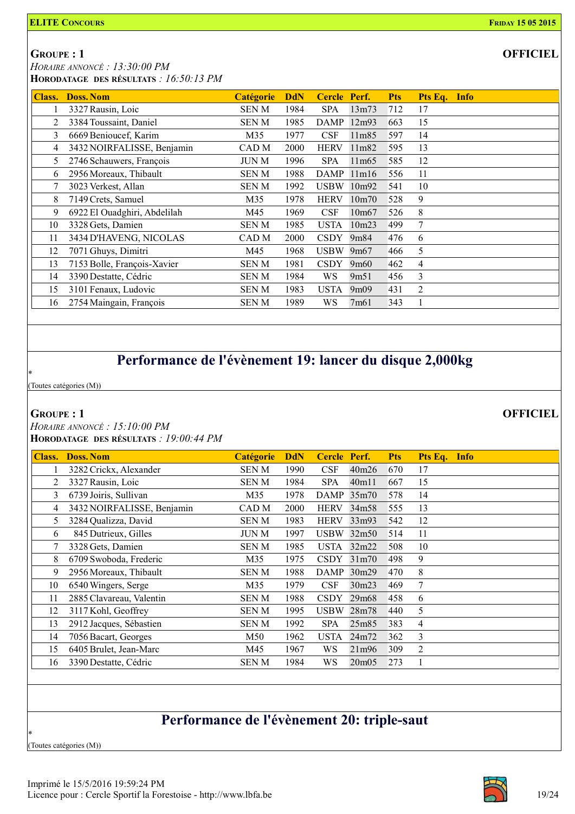**OFFICIEL** 

GROUPE : 1

 HORAIRE ANNONCÉ : 13:30:00 PM HORODATAGE DES RÉSULTATS : 16:50:13 PM

| Class. | <b>Doss. Nom</b>             | <b>Catégorie</b> | <b>DdN</b> | Cercle Perf. |                    | <b>Pts</b> | Pts Eq. Info   |
|--------|------------------------------|------------------|------------|--------------|--------------------|------------|----------------|
|        | 3327 Rausin, Loic            | <b>SENM</b>      | 1984       | <b>SPA</b>   | 13m73              | 712        | 17             |
| 2      | 3384 Toussaint, Daniel       | <b>SENM</b>      | 1985       | <b>DAMP</b>  | 12m93              | 663        | 15             |
| 3      | 6669 Benioucef, Karim        | M35              | 1977       | CSF          | 11m85              | 597        | 14             |
| 4      | 3432 NOIRFALISSE, Benjamin   | CAD M            | 2000       | <b>HERV</b>  | 11m82              | 595        | 13             |
| 5      | 2746 Schauwers, François     | <b>JUN M</b>     | 1996       | <b>SPA</b>   | 11m65              | 585        | 12             |
| 6      | 2956 Moreaux, Thibault       | <b>SENM</b>      | 1988       | <b>DAMP</b>  | 11m16              | 556        | 11             |
|        | 3023 Verkest, Allan          | <b>SENM</b>      | 1992       | <b>USBW</b>  | 10m92              | 541        | 10             |
| 8      | 7149 Crets, Samuel           | M35              | 1978       | <b>HERV</b>  | 10 <sub>m</sub> 70 | 528        | 9              |
| 9      | 6922 El Ouadghiri, Abdelilah | M45              | 1969       | CSF          | 10m <sub>67</sub>  | 526        | 8              |
| 10     | 3328 Gets, Damien            | SEN M            | 1985       | <b>USTA</b>  | 10m23              | 499        | 7              |
| 11     | 3434 D'HAVENG, NICOLAS       | CAD M            | 2000       | <b>CSDY</b>  | 9m84               | 476        | 6              |
| 12     | 7071 Ghuys, Dimitri          | M45              | 1968       | <b>USBW</b>  | 9m <sub>67</sub>   | 466        | 5              |
| 13     | 7153 Bolle, François-Xavier  | <b>SENM</b>      | 1981       | <b>CSDY</b>  | 9m60               | 462        | 4              |
| 14     | 3390 Destatte, Cédric        | <b>SENM</b>      | 1984       | WS           | 9m51               | 456        | 3              |
| 15     | 3101 Fenaux, Ludovic         | SEN M            | 1983       | <b>USTA</b>  | 9m09               | 431        | $\overline{2}$ |
| 16     | 2754 Maingain, François      | SEN M            | 1989       | WS           | 7m61               | 343        |                |

## Performance de l'évènement 19: lancer du disque 2,000kg

(Toutes catégories (M))

### GROUPE : 1

\*

 HORAIRE ANNONCÉ : 15:10:00 PM HORODATAGE DES RÉSULTATS : 19:00:44 PM

| <b>Class.</b> | <b>Doss. Nom</b>           | <b>Catégorie</b> | <b>DdN</b> | Cercle Perf. |                    | <b>Pts</b> | Pts Eq. Info |  |
|---------------|----------------------------|------------------|------------|--------------|--------------------|------------|--------------|--|
|               | 3282 Crickx, Alexander     | <b>SENM</b>      | 1990       | CSF          | 40m26              | 670        | 17           |  |
| 2             | 3327 Rausin, Loic          | <b>SENM</b>      | 1984       | <b>SPA</b>   | 40m11              | 667        | 15           |  |
| 3             | 6739 Joiris, Sullivan      | M35              | 1978       | DAMP 35m70   |                    | 578        | 14           |  |
| 4             | 3432 NOIRFALISSE, Benjamin | CAD M            | 2000       | <b>HERV</b>  | 34m58              | 555        | 13           |  |
| 5             | 3284 Qualizza, David       | <b>SENM</b>      | 1983       | <b>HERV</b>  | 33m93              | 542        | 12           |  |
| 6             | 845 Dutrieux, Gilles       | <b>JUN M</b>     | 1997       | <b>USBW</b>  | 32m50              | 514        | 11           |  |
|               | 3328 Gets, Damien          | <b>SENM</b>      | 1985       | <b>USTA</b>  | 32m22              | 508        | 10           |  |
| 8             | 6709 Swoboda, Frederic     | M35              | 1975       | <b>CSDY</b>  | 31 <sub>m</sub> 70 | 498        | 9            |  |
| 9             | 2956 Moreaux, Thibault     | SEN M            | 1988       | <b>DAMP</b>  | 30m29              | 470        | 8            |  |
| 10            | 6540 Wingers, Serge        | M35              | 1979       | CSF          | 30m23              | 469        | 7            |  |
| 11            | 2885 Clavareau, Valentin   | <b>SENM</b>      | 1988       | <b>CSDY</b>  | 29m <sub>68</sub>  | 458        | 6            |  |
| 12            | 3117 Kohl, Geoffrey        | <b>SENM</b>      | 1995       | <b>USBW</b>  | 28m78              | 440        | 5            |  |
| 13            | 2912 Jacques, Sébastien    | <b>SENM</b>      | 1992       | <b>SPA</b>   | 25m85              | 383        | 4            |  |
| 14            | 7056 Bacart, Georges       | M50              | 1962       | <b>USTA</b>  | 24m72              | 362        | 3            |  |
| 15            | 6405 Brulet, Jean-Marc     | M45              | 1967       | WS           | 21m96              | 309        | 2            |  |
| 16            | 3390 Destatte, Cédric      | SEN M            | 1984       | WS           | 20m05              | 273        |              |  |

### Performance de l'évènement 20: triple-saut

(Toutes catégories (M))

\*

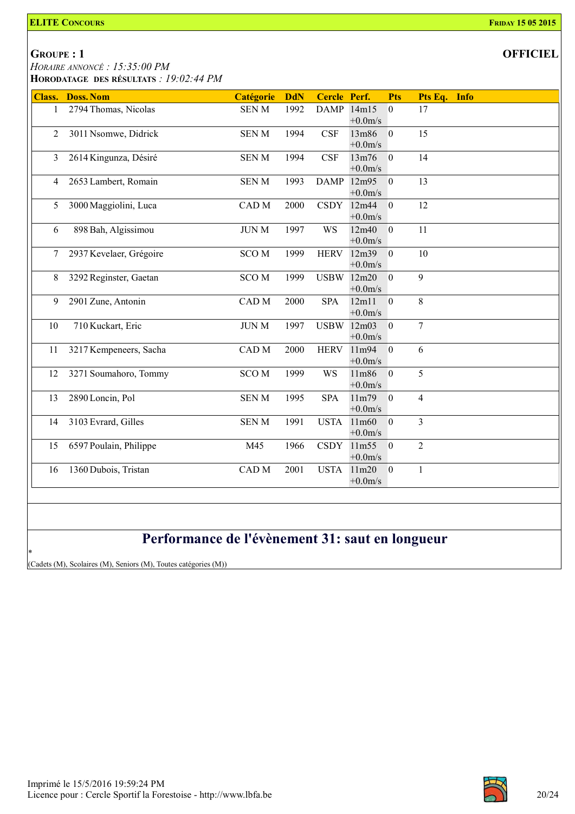### GROUPE : 1

 HORAIRE ANNONCÉ : 15:35:00 PM HORODATAGE DES RÉSULTATS : 19:02:44 PM

|              | <b>Class. Doss. Nom</b> | Catégorie              | <b>DdN</b> | Cercle Perf. |            | <b>Pts</b>       | Pts Eq. Info   |
|--------------|-------------------------|------------------------|------------|--------------|------------|------------------|----------------|
| $\mathbf{1}$ | 2794 Thomas, Nicolas    | <b>SENM</b>            | 1992       | DAMP 14m15   |            | $\overline{0}$   | 17             |
|              |                         |                        |            |              | $+0.0$ m/s |                  |                |
| 2            | 3011 Nsomwe, Didrick    | <b>SENM</b>            | 1994       | <b>CSF</b>   | 13m86      | $\overline{0}$   | 15             |
|              |                         |                        |            |              | $+0.0m/s$  |                  |                |
| 3            | 2614 Kingunza, Désiré   | <b>SENM</b>            | 1994       | CSF          | 13m76      | $\mathbf{0}$     | 14             |
|              |                         |                        |            |              | $+0.0m/s$  |                  |                |
| 4            | 2653 Lambert, Romain    | <b>SENM</b>            | 1993       | <b>DAMP</b>  | 12m95      | $\overline{0}$   | 13             |
|              |                         |                        |            |              | $+0.0m/s$  |                  |                |
| 5            | 3000 Maggiolini, Luca   | CAD M                  | 2000       |              | CSDY 12m44 | $\overline{0}$   | 12             |
|              |                         |                        |            |              | $+0.0$ m/s |                  |                |
| 6            | 898 Bah, Algissimou     | <b>JUN M</b>           | 1997       | WS           | 12m40      | $\overline{0}$   | 11             |
|              |                         |                        |            |              | $+0.0m/s$  |                  |                |
| 7            | 2937 Kevelaer, Grégoire | <b>SCOM</b>            | 1999       | <b>HERV</b>  | 12m39      | $\mathbf{0}$     | 10             |
|              |                         |                        |            |              | $+0.0m/s$  |                  |                |
| 8            | 3292 Reginster, Gaetan  | <b>SCOM</b>            | 1999       |              | USBW 12m20 | $\overline{0}$   | 9              |
|              |                         |                        |            |              | $+0.0m/s$  |                  |                |
| 9            | 2901 Zune, Antonin      | $\operatorname{CAD}$ M | 2000       | <b>SPA</b>   | 12m11      | $\overline{0}$   | $8\,$          |
|              |                         |                        |            |              | $+0.0$ m/s |                  |                |
| 10           | 710 Kuckart, Eric       | <b>JUN M</b>           | 1997       | USBW 12m03   |            | $\overline{0}$   | $\overline{7}$ |
|              |                         |                        |            |              | $+0.0m/s$  |                  |                |
| 11           | 3217 Kempeneers, Sacha  | CAD M                  | 2000       | <b>HERV</b>  | 11m94      | $\mathbf{0}$     | 6              |
|              |                         |                        |            |              | $+0.0m/s$  |                  |                |
| 12           | 3271 Soumahoro, Tommy   | <b>SCOM</b>            | 1999       | <b>WS</b>    | 11m86      | $\overline{0}$   | 5              |
|              |                         |                        |            |              | $+0.0m/s$  |                  |                |
| 13           | 2890 Loncin, Pol        | <b>SENM</b>            | 1995       | <b>SPA</b>   | 11m79      | $\overline{0}$   | $\overline{4}$ |
|              |                         |                        |            |              | $+0.0m/s$  |                  |                |
| 14           | 3103 Evrard, Gilles     | <b>SENM</b>            | 1991       | <b>USTA</b>  | 11m60      | $\mathbf{0}$     | $\overline{3}$ |
|              |                         |                        |            |              | $+0.0m/s$  |                  |                |
| 15           | 6597 Poulain, Philippe  | M45                    | 1966       |              | CSDY 11m55 | $\boldsymbol{0}$ | $\overline{2}$ |
|              |                         |                        |            |              | $+0.0m/s$  |                  |                |
| 16           | 1360 Dubois, Tristan    | CAD M                  | 2001       | <b>USTA</b>  | 11m20      | $\overline{0}$   | $\mathbf{1}$   |
|              |                         |                        |            |              | $+0.0m/s$  |                  |                |
|              |                         |                        |            |              |            |                  |                |
|              |                         |                        |            |              |            |                  |                |
|              |                         |                        |            |              |            |                  |                |
|              |                         |                        |            |              |            |                  |                |

### Performance de l'évènement 31: saut en longueur

\* (Cadets (M), Scolaires (M), Seniors (M), Toutes catégories (M))

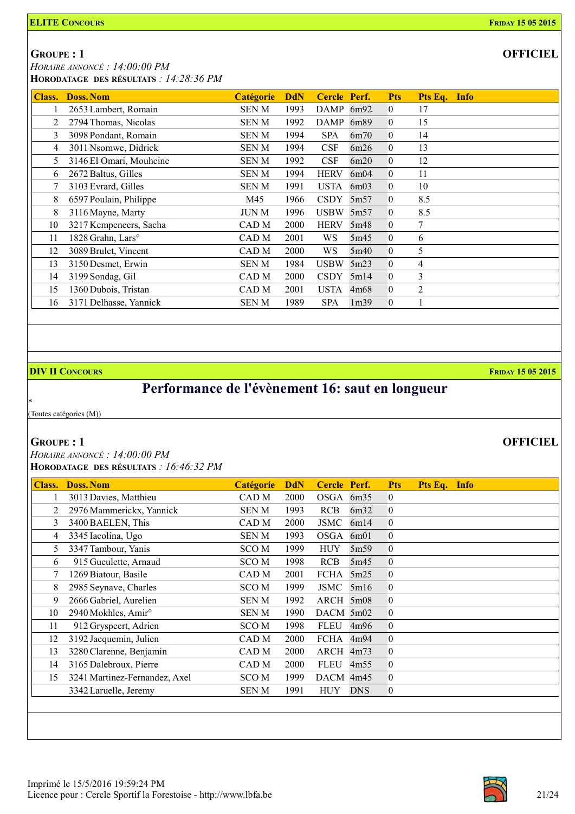GROUPE : 1

 HORAIRE ANNONCÉ : 14:00:00 PM HORODATAGE DES RÉSULTATS : 14:28:36 PM

| <b>Class.</b> | <b>Doss, Nom</b>              | <b>Catégorie</b> | <b>DdN</b> | Cercle Perf. |                  | <b>Pts</b>     | Pts Eq. Info   |
|---------------|-------------------------------|------------------|------------|--------------|------------------|----------------|----------------|
|               | 2653 Lambert, Romain          | SEN M            | 1993       | <b>DAMP</b>  | 6m92             | $\overline{0}$ | 17             |
| 2             | 2794 Thomas, Nicolas          | SEN M            | 1992       | <b>DAMP</b>  | 6m89             | $\theta$       | 15             |
| 3             | 3098 Pondant, Romain          | <b>SENM</b>      | 1994       | <b>SPA</b>   | 6m70             | $\theta$       | 14             |
| 4             | 3011 Nsomwe, Didrick          | SEN M            | 1994       | CSF          | 6m26             | $\theta$       | 13             |
| 5             | 3146 El Omari, Mouhcine       | <b>SENM</b>      | 1992       | <b>CSF</b>   | 6m20             | $\theta$       | 12             |
| 6             | 2672 Baltus, Gilles           | <b>SENM</b>      | 1994       | <b>HERV</b>  | 6m04             | $\theta$       | 11             |
|               | 3103 Evrard, Gilles           | <b>SENM</b>      | 1991       | <b>USTA</b>  | 6m03             | $\theta$       | 10             |
| 8             | 6597 Poulain, Philippe        | M45              | 1966       | <b>CSDY</b>  | 5m <sub>57</sub> | $\theta$       | 8.5            |
| 8             | 3116 Mayne, Marty             | <b>JUN M</b>     | 1996       | USBW         | 5m57             | $\theta$       | 8.5            |
| 10            | 3217 Kempeneers, Sacha        | CAD M            | 2000       | <b>HERV</b>  | 5m48             | $\theta$       | 7              |
| 11            | 1828 Grahn, Lars <sup>o</sup> | CAD M            | 2001       | WS.          | 5m45             | $\overline{0}$ | 6              |
| 12            | 3089 Brulet, Vincent          | CAD M            | 2000       | WS           | 5m40             | $\overline{0}$ | 5              |
| 13            | 3150 Desmet, Erwin            | <b>SENM</b>      | 1984       | <b>USBW</b>  | 5m23             | $\theta$       | $\overline{4}$ |
| 14            | 3199 Sondag, Gil              | CAD M            | 2000       | <b>CSDY</b>  | 5m14             | $\theta$       | 3              |
| 15            | 1360 Dubois, Tristan          | CAD M            | 2001       | <b>USTA</b>  | 4m68             | $\theta$       | $\overline{2}$ |
| 16            | 3171 Delhasse, Yannick        | SEN M            | 1989       | <b>SPA</b>   | 1 <sub>m39</sub> | $\overline{0}$ |                |

### **DIV II CONCOURS FRIDAY 15 05 2015**

## Performance de l'évènement 16: saut en longueur

(Toutes catégories (M))

### GROUPE : 1

\*

 HORAIRE ANNONCÉ : 14:00:00 PM HORODATAGE DES RÉSULTATS : 16:46:32 PM

| <b>Class.</b> | <b>Doss. Nom</b>                | <b>Catégorie</b> | <b>DdN</b> | Cercle Perf. |            | <b>Pts</b>     | Pts Eq. Info |  |
|---------------|---------------------------------|------------------|------------|--------------|------------|----------------|--------------|--|
|               | 3013 Davies, Matthieu           | CAD M            | 2000       | OSGA 6m35    |            | $\overline{0}$ |              |  |
| 2             | 2976 Mammerickx, Yannick        | SEN M            | 1993       | <b>RCB</b>   | 6m32       | $\overline{0}$ |              |  |
| 3             | 3400 BAELEN, This               | CAD M            | 2000       | JSMC         | 6m14       | $\overline{0}$ |              |  |
| 4             | 3345 Iacolina, Ugo              | SEN M            | 1993       | OSGA         | 6m01       | $\mathbf{0}$   |              |  |
| 5             | 3347 Tambour, Yanis             | <b>SCOM</b>      | 1999       | <b>HUY</b>   | 5m59       | $\mathbf{0}$   |              |  |
| 6             | 915 Gueulette, Arnaud           | SCO <sub>M</sub> | 1998       | <b>RCB</b>   | 5m45       | $\overline{0}$ |              |  |
| 7             | 1269 Biatour, Basile            | CAD M            | 2001       | FCHA         | 5m25       | $\overline{0}$ |              |  |
| 8             | 2985 Seynave, Charles           | SCO M            | 1999       | <b>JSMC</b>  | 5m16       | $\overline{0}$ |              |  |
| 9             | 2666 Gabriel, Aurelien          | SEN M            | 1992       | ARCH 5m08    |            | $\overline{0}$ |              |  |
| 10            | 2940 Mokhles, Amir <sup>o</sup> | SEN M            | 1990       | DACM 5m02    |            | $\mathbf{0}$   |              |  |
| 11            | 912 Gryspeert, Adrien           | <b>SCOM</b>      | 1998       | <b>FLEU</b>  | 4m96       | $\mathbf{0}$   |              |  |
| 12            | 3192 Jacquemin, Julien          | CAD M            | 2000       | FCHA         | 4m94       | $\overline{0}$ |              |  |
| 13            | 3280 Clarenne, Benjamin         | CAD M            | 2000       | ARCH         | 4m73       | $\overline{0}$ |              |  |
| 14            | 3165 Dalebroux, Pierre          | CAD M            | 2000       | <b>FLEU</b>  | 4m55       | $\overline{0}$ |              |  |
| 15            | 3241 Martinez-Fernandez, Axel   | SCO M            | 1999       | DACM 4m45    |            | $\overline{0}$ |              |  |
|               | 3342 Laruelle, Jeremy           | SEN M            | 1991       | <b>HUY</b>   | <b>DNS</b> | $\mathbf{0}$   |              |  |
|               |                                 |                  |            |              |            |                |              |  |

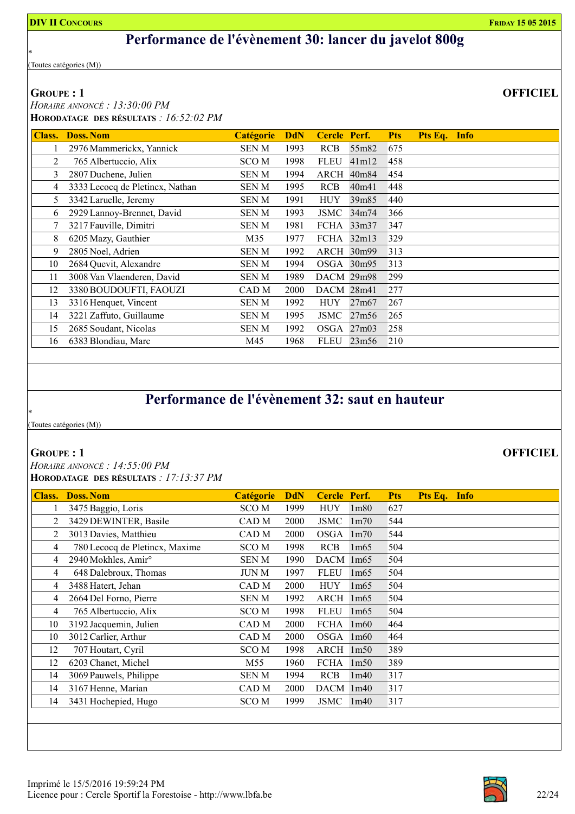### Performance de l'évènement 30: lancer du javelot 800g

(Toutes catégories (M))

### GROUPE : 1

\*

 HORAIRE ANNONCÉ : 13:30:00 PM HORODATAGE DES RÉSULTATS : 16:52:02 PM

| Class. | <b>Doss. Nom</b>                | <b>Catégorie</b> | <b>DdN</b> | Cercle Perf.        |       | <b>Pts</b> | Pts Eq. Info |  |
|--------|---------------------------------|------------------|------------|---------------------|-------|------------|--------------|--|
|        | 2976 Mammerickx, Yannick        | SEN M            | 1993       | <b>RCB</b>          | 55m82 | 675        |              |  |
| 2      | 765 Albertuccio, Alix           | SCO M            | 1998       | <b>FLEU</b>         | 41m12 | 458        |              |  |
| 3      | 2807 Duchene, Julien            | SEN M            | 1994       | ARCH                | 40m84 | 454        |              |  |
| 4      | 3333 Lecocq de Pletincx, Nathan | SEN M            | 1995       | <b>RCB</b>          | 40m41 | 448        |              |  |
| 5      | 3342 Laruelle, Jeremy           | SEN M            | 1991       | <b>HUY</b>          | 39m85 | 440        |              |  |
| 6      | 2929 Lannoy-Brennet, David      | SEN M            | 1993       | JSMC                | 34m74 | 366        |              |  |
|        | 3217 Fauville, Dimitri          | SEN M            | 1981       | FCHA                | 33m37 | 347        |              |  |
| 8      | 6205 Mazy, Gauthier             | M35              | 1977       | $FCHA$ 32m13        |       | 329        |              |  |
| 9      | 2805 Noel, Adrien               | <b>SENM</b>      | 1992       | $\text{ARCH}$ 30m99 |       | 313        |              |  |
| 10     | 2684 Quevit, Alexandre          | SEN M            | 1994       | OSGA 30m95          |       | 313        |              |  |
| 11     | 3008 Van Vlaenderen, David      | SEN M            | 1989       | DACM 29m98          |       | 299        |              |  |
| 12     | 3380 BOUDOUFTI, FAOUZI          | CAD M            | 2000       | DACM 28m41          |       | 277        |              |  |
| 13     | 3316 Henquet, Vincent           | SEN M            | 1992       | <b>HUY</b>          | 27m67 | 267        |              |  |
| 14     | 3221 Zaffuto, Guillaume         | SEN M            | 1995       | <b>JSMC</b>         | 27m56 | 265        |              |  |
| 15     | 2685 Soudant, Nicolas           | <b>SENM</b>      | 1992       | $OSGA$ 27m03        |       | 258        |              |  |
| 16     | 6383 Blondiau, Marc             | M45              | 1968       | <b>FLEU</b>         | 23m56 | 210        |              |  |

## Performance de l'évènement 32: saut en hauteur

(Toutes catégories (M))

### GROUPE : 1

\*

 HORAIRE ANNONCÉ : 14:55:00 PM HORODATAGE DES RÉSULTATS : 17:13:37 PM

| Class.         | <b>Doss, Nom</b>                | <b>Catégorie</b> | <b>DdN</b> | Cercle Perf. |                   | <b>Pts</b> | Pts Eq. Info |  |
|----------------|---------------------------------|------------------|------------|--------------|-------------------|------------|--------------|--|
| 1              | 3475 Baggio, Loris              | SCO M            | 1999       | <b>HUY</b>   | 1 <sub>m80</sub>  | 627        |              |  |
| 2              | 3429 DEWINTER, Basile           | CAD M            | 2000       | JSMC         | 1 <sub>m</sub> 70 | 544        |              |  |
| 2              | 3013 Davies, Matthieu           | CAD M            | 2000       | OSGA         | 1 <sub>m</sub> 70 | 544        |              |  |
| 4              | 780 Lecocq de Pletincx, Maxime  | SCO M            | 1998       | <b>RCB</b>   | 1m65              | 504        |              |  |
| 4              | 2940 Mokhles, Amir <sup>o</sup> | SEN M            | 1990       | DACM 1m65    |                   | 504        |              |  |
| 4              | 648 Dalebroux, Thomas           | JUN M            | 1997       | <b>FLEU</b>  | 1m65              | 504        |              |  |
| $\overline{4}$ | 3488 Hatert, Jehan              | CAD M            | 2000       | <b>HUY</b>   | 1m65              | 504        |              |  |
| 4              | 2664 Del Forno, Pierre          | SEN M            | 1992       | ARCH         | 1m65              | 504        |              |  |
| $\overline{4}$ | 765 Albertuccio, Alix           | SCO M            | 1998       | <b>FLEU</b>  | 1m65              | 504        |              |  |
| 10             | 3192 Jacquemin, Julien          | CAD M            | 2000       | FCHA         | 1m60              | 464        |              |  |
| 10             | 3012 Carlier, Arthur            | CAD <sub>M</sub> | 2000       | OSGA 1m60    |                   | 464        |              |  |
| 12             | 707 Houtart, Cyril              | SCO M            | 1998       | ARCH 1m50    |                   | 389        |              |  |
| 12             | 6203 Chanet, Michel             | M55              | 1960       | FCHA         | 1m50              | 389        |              |  |
| 14             | 3069 Pauwels, Philippe          | SEN M            | 1994       | <b>RCB</b>   | 1m40              | 317        |              |  |
| 14             | 3167 Henne, Marian              | CAD M            | 2000       | DACM 1m40    |                   | 317        |              |  |
| 14             | 3431 Hochepied, Hugo            | SCO M            | 1999       | <b>JSMC</b>  | 1m40              | 317        |              |  |
|                |                                 |                  |            |              |                   |            |              |  |

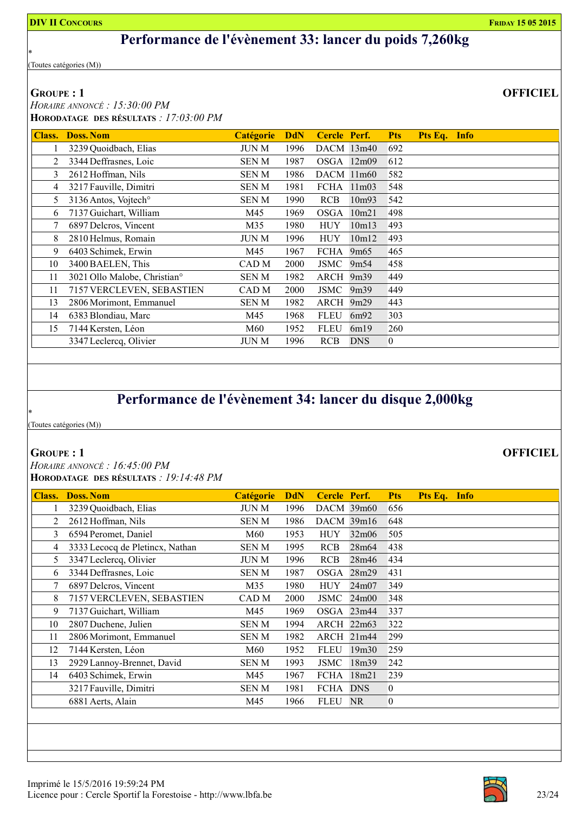### Performance de l'évènement 33: lancer du poids 7,260kg

(Toutes catégories (M))

### GROUPE : 1

\*

 HORAIRE ANNONCÉ : 15:30:00 PM HORODATAGE DES RÉSULTATS : 17:03:00 PM

| <b>Doss. Nom</b>                         | <b>Catégorie</b> | <b>DdN</b> |             |            | <b>Pts</b>                                                                                                                    | Pts Eq. Info |  |
|------------------------------------------|------------------|------------|-------------|------------|-------------------------------------------------------------------------------------------------------------------------------|--------------|--|
| 3239 Quoidbach, Elias                    | JUN M            | 1996       |             |            | 692                                                                                                                           |              |  |
| 3344 Deffrasnes, Loic                    | SEN M            | 1987       |             |            | 612                                                                                                                           |              |  |
| 2612 Hoffman, Nils                       | SEN M            | 1986       |             |            | 582                                                                                                                           |              |  |
| 3217 Fauville, Dimitri                   | SEN M            | 1981       |             |            | 548                                                                                                                           |              |  |
| 3136 Antos, Vojtech <sup>o</sup>         | SEN M            | 1990       | <b>RCB</b>  | 10m93      | 542                                                                                                                           |              |  |
| 7137 Guichart, William                   | M45              | 1969       | OSGA        | 10m21      | 498                                                                                                                           |              |  |
| 6897 Delcros, Vincent                    | M35              | 1980       | <b>HUY</b>  | 10m13      | 493                                                                                                                           |              |  |
| 2810 Helmus, Romain                      | JUN M            | 1996       | <b>HUY</b>  | 10m12      | 493                                                                                                                           |              |  |
| 6403 Schimek, Erwin                      | M45              | 1967       |             | 9m65       | 465                                                                                                                           |              |  |
| 3400 BAELEN, This                        | CAD M            | 2000       | JSMC        | 9m54       | 458                                                                                                                           |              |  |
| 3021 Ollo Malobe, Christian <sup>o</sup> | SEN M            | 1982       |             |            | 449                                                                                                                           |              |  |
| 7157 VERCLEVEN, SEBASTIEN                | CAD M            | 2000       |             |            | 449                                                                                                                           |              |  |
| 2806 Morimont, Emmanuel                  | SEN M            | 1982       |             |            | 443                                                                                                                           |              |  |
| 6383 Blondiau, Marc                      | M45              | 1968       | <b>FLEU</b> | 6m92       | 303                                                                                                                           |              |  |
| 7144 Kersten, Léon                       | M60              | 1952       | <b>FLEU</b> | 6m19       | 260                                                                                                                           |              |  |
| 3347 Leclercq, Olivier                   | JUN M            | 1996       | <b>RCB</b>  | <b>DNS</b> | $\bf{0}$                                                                                                                      |              |  |
|                                          |                  |            |             |            | <b>Cercle Perf.</b><br>DACM 13m40<br>OSGA 12m09<br>DACM 11m60<br>FCHA 11m03<br>FCHA<br>ARCH 9m39<br>JSMC<br>9m39<br>ARCH 9m29 |              |  |

### Performance de l'évènement 34: lancer du disque 2,000kg

(Toutes catégories (M))

### GROUPE : 1

\*

 HORAIRE ANNONCÉ : 16:45:00 PM HORODATAGE DES RÉSULTATS : 19:14:48 PM

| Class. | <b>Doss. Nom</b>                | <b>Catégorie</b> | <b>DdN</b> | Cercle Perf.    |                   | <b>Pts</b>     | Pts Eq. Info |
|--------|---------------------------------|------------------|------------|-----------------|-------------------|----------------|--------------|
|        | 3239 Quoidbach, Elias           | JUN M            | 1996       | $DACM$ 39 $m60$ |                   | 656            |              |
| 2      | 2612 Hoffman, Nils              | SEN M            | 1986       | DACM 39m16      |                   | 648            |              |
| 3      | 6594 Peromet, Daniel            | M60              | 1953       | <b>HUY</b>      | 32m06             | 505            |              |
| 4      | 3333 Lecocq de Pletincx, Nathan | SEN M            | 1995       | RCB             | 28m64             | 438            |              |
| 5.     | 3347 Leclercq, Olivier          | JUN M            | 1996       | <b>RCB</b>      | 28m46             | 434            |              |
| 6      | 3344 Deffrasnes, Loic           | SEN M            | 1987       | OSGA            | 28m29             | 431            |              |
| 7      | 6897 Delcros, Vincent           | M35              | 1980       | <b>HUY</b>      | 24m07             | 349            |              |
| 8      | 7157 VERCLEVEN, SEBASTIEN       | CAD M            | 2000       | JSMC            | 24m00             | 348            |              |
| 9      | 7137 Guichart, William          | M45              | 1969       |                 | OSGA 23m44        | 337            |              |
| 10     | 2807 Duchene, Julien            | <b>SENM</b>      | 1994       | ARCH 22m63      |                   | 322            |              |
| 11     | 2806 Morimont, Emmanuel         | SEN M            | 1982       |                 | ARCH 21m44        | 299            |              |
| 12     | 7144 Kersten, Léon              | M60              | 1952       | <b>FLEU</b>     | 19 <sub>m30</sub> | 259            |              |
| 13     | 2929 Lannoy-Brennet, David      | <b>SENM</b>      | 1993       | <b>JSMC</b>     | 18m39             | 242            |              |
| 14     | 6403 Schimek, Erwin             | M45              | 1967       | FCHA            | 18m21             | 239            |              |
|        | 3217 Fauville, Dimitri          | SEN M            | 1981       | FCHA DNS        |                   | 0              |              |
|        | 6881 Aerts, Alain               | M45              | 1966       | <b>FLEU</b>     | NR.               | $\overline{0}$ |              |
|        |                                 |                  |            |                 |                   |                |              |